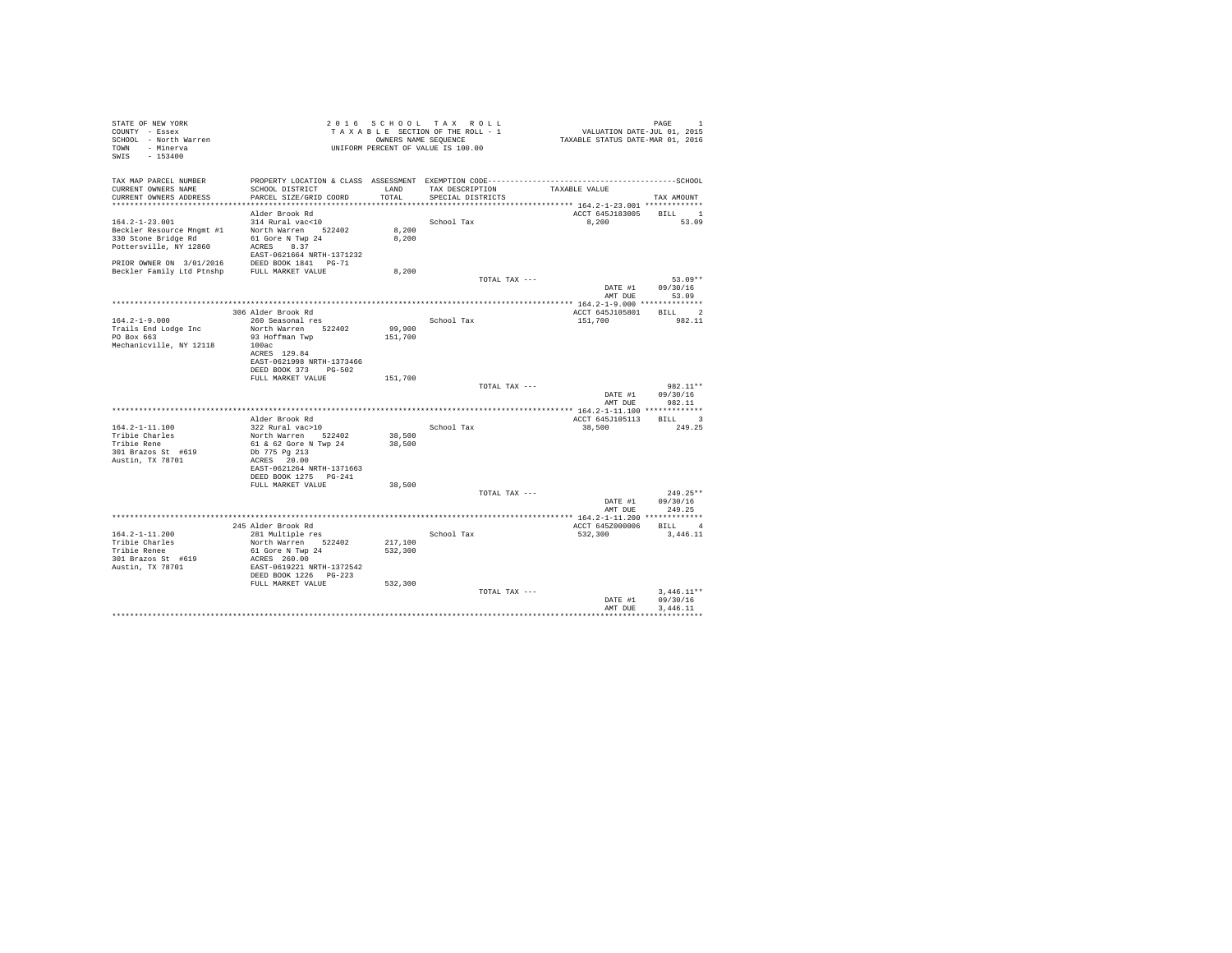| STATE OF NEW YORK<br>COUNTY - Essex<br>SCHOOL - North Warren<br>TOWN - Minerva               |                                                                                              |                | 2016 SCHOOL TAX ROLL<br>TAXABLE SECTION OF THE ROLL - 1<br>OWNERS NAME SEQUENCE<br>UNIFORM PERCENT OF VALUE IS 100.00 | 1 PAGE<br>2015 .VALUATION DATE-JUL 01<br>TAXABLE STATUS DATE-MAR 01, 2016 | PAGE<br>$\mathbf{1}$       |
|----------------------------------------------------------------------------------------------|----------------------------------------------------------------------------------------------|----------------|-----------------------------------------------------------------------------------------------------------------------|---------------------------------------------------------------------------|----------------------------|
| SWIS - 153400                                                                                |                                                                                              |                |                                                                                                                       |                                                                           |                            |
| TAX MAP PARCEL NUMBER                                                                        | PROPERTY LOCATION & CLASS ASSESSMENT EXEMPTION CODE-----------------------------------SCHOOL |                |                                                                                                                       |                                                                           |                            |
| CURRENT OWNERS NAME<br>CURRENT OWNERS ADDRESS                                                | SCHOOL DISTRICT<br>PARCEL SIZE/GRID COORD                                                    | LAND<br>TOTAL  | TAX DESCRIPTION<br>SPECIAL DISTRICTS                                                                                  | TAXABLE VALUE                                                             | TAX AMOUNT                 |
|                                                                                              |                                                                                              |                |                                                                                                                       | ******************************** 164.2-1-23.001 *************             |                            |
|                                                                                              | Alder Brook Rd                                                                               |                |                                                                                                                       | ACCT 645J183005 BILL 1                                                    |                            |
| $164.2 - 1 - 23.001$                                                                         | 314 Rural vac<10                                                                             |                | School Tax                                                                                                            | 8.200                                                                     | 53.09                      |
| Beckler Resource Mngmt #1<br>330 Stone Bridge Rd                                             | North Warren 522402<br>61 Gore N Twp 24                                                      | 8,200<br>8,200 |                                                                                                                       |                                                                           |                            |
| Pottersville, NY 12860                                                                       | ACRES 8.37                                                                                   |                |                                                                                                                       |                                                                           |                            |
|                                                                                              | EAST-0621664 NRTH-1371232                                                                    |                |                                                                                                                       |                                                                           |                            |
| PRIOR OWNER ON 3/01/2016 DEED BOOK 1841 PG-71<br>Beckler Family Ltd Ptnshp FULL MARKET VALUE |                                                                                              |                |                                                                                                                       |                                                                           |                            |
|                                                                                              |                                                                                              | 8,200          |                                                                                                                       |                                                                           |                            |
|                                                                                              |                                                                                              |                | TOTAL TAX ---                                                                                                         |                                                                           | $53.09**$                  |
|                                                                                              |                                                                                              |                |                                                                                                                       | DATE #1                                                                   | 09/30/16<br>AMT DUE 53.09  |
|                                                                                              |                                                                                              |                |                                                                                                                       |                                                                           |                            |
|                                                                                              | 306 Alder Brook Rd                                                                           |                |                                                                                                                       | ACCT 645J105801                                                           | BILL 2                     |
| $164.2 - 1 - 9.000$                                                                          | 260 Seasonal res                                                                             |                | School Tax                                                                                                            | 151,700                                                                   | 982.11                     |
| Trails End Lodge Inc                                                                         | North Warren 522402                                                                          | 99,900         |                                                                                                                       |                                                                           |                            |
| PO Box 663                                                                                   | 93 Hoffman Twp                                                                               | 151,700        |                                                                                                                       |                                                                           |                            |
| Mechanicville, NY 12118                                                                      | 100ac<br>ACRES 129.84                                                                        |                |                                                                                                                       |                                                                           |                            |
|                                                                                              | EAST-0621998 NRTH-1373466                                                                    |                |                                                                                                                       |                                                                           |                            |
|                                                                                              | DEED BOOK 373 PG-502                                                                         |                |                                                                                                                       |                                                                           |                            |
|                                                                                              | FULL MARKET VALUE                                                                            | 151,700        |                                                                                                                       |                                                                           |                            |
|                                                                                              |                                                                                              |                | TOTAL TAX ---                                                                                                         |                                                                           | 982.11**                   |
|                                                                                              |                                                                                              |                |                                                                                                                       | DATE #1                                                                   | 09/30/16<br>AMT DUE 982.11 |
|                                                                                              |                                                                                              |                |                                                                                                                       |                                                                           |                            |
|                                                                                              | Alder Brook Rd                                                                               |                |                                                                                                                       | ACCT 645J105113                                                           | BILL 3                     |
| 164.2-1-11.100                                                                               | 322 Rural vac>10                                                                             |                | School Tax                                                                                                            | 38,500                                                                    | 249.25                     |
| Tribie Charles                                                                               | North Warren 522402                                                                          | 38,500         |                                                                                                                       |                                                                           |                            |
| Tribie Rene                                                                                  | 61 & 62 Gore N Twp 24                                                                        | 38,500         |                                                                                                                       |                                                                           |                            |
| 301 Brazos St #619<br>Austin, TX 78701                                                       | Db 775 Pg 213<br>ACRES 20.00                                                                 |                |                                                                                                                       |                                                                           |                            |
|                                                                                              | EAST-0621264 NRTH-1371663                                                                    |                |                                                                                                                       |                                                                           |                            |
|                                                                                              | DEED BOOK 1275 PG-241                                                                        |                |                                                                                                                       |                                                                           |                            |
|                                                                                              | FULL MARKET VALUE                                                                            | 38,500         |                                                                                                                       |                                                                           |                            |
|                                                                                              |                                                                                              |                | TOTAL TAX ---                                                                                                         |                                                                           | $249.25**$                 |
|                                                                                              |                                                                                              |                |                                                                                                                       | DATE #1<br>AMT DUE                                                        | 09/30/16<br>249.25         |
|                                                                                              |                                                                                              |                |                                                                                                                       |                                                                           |                            |
|                                                                                              | 245 Alder Brook Rd                                                                           |                |                                                                                                                       | ACCT 645Z000006                                                           | BILL 4                     |
| $164.2 - 1 - 11.200$                                                                         | 281 Multiple res                                                                             |                | School Tax                                                                                                            | 532,300                                                                   | 3,446.11                   |
| Tribie Charles                                                                               | North Warren 522402                                                                          | 217,100        |                                                                                                                       |                                                                           |                            |
| Tribie Renee                                                                                 | 61 Gore N Twp 24                                                                             | 532,300        |                                                                                                                       |                                                                           |                            |
| 301 Brazos St #619<br>Austin, TX 78701                                                       | ACRES 260.00<br>EAST-0619221 NRTH-1372542                                                    |                |                                                                                                                       |                                                                           |                            |
|                                                                                              | DEED BOOK 1226 PG-223                                                                        |                |                                                                                                                       |                                                                           |                            |
|                                                                                              | FULL MARKET VALUE                                                                            | 532,300        |                                                                                                                       |                                                                           |                            |
|                                                                                              |                                                                                              |                | TOTAL TAX ---                                                                                                         |                                                                           | $3.446.11**$               |
|                                                                                              |                                                                                              |                |                                                                                                                       | DATE #1                                                                   | 09/30/16                   |
|                                                                                              |                                                                                              |                |                                                                                                                       | AMT DUE                                                                   | 3,446.11                   |
|                                                                                              |                                                                                              |                |                                                                                                                       |                                                                           |                            |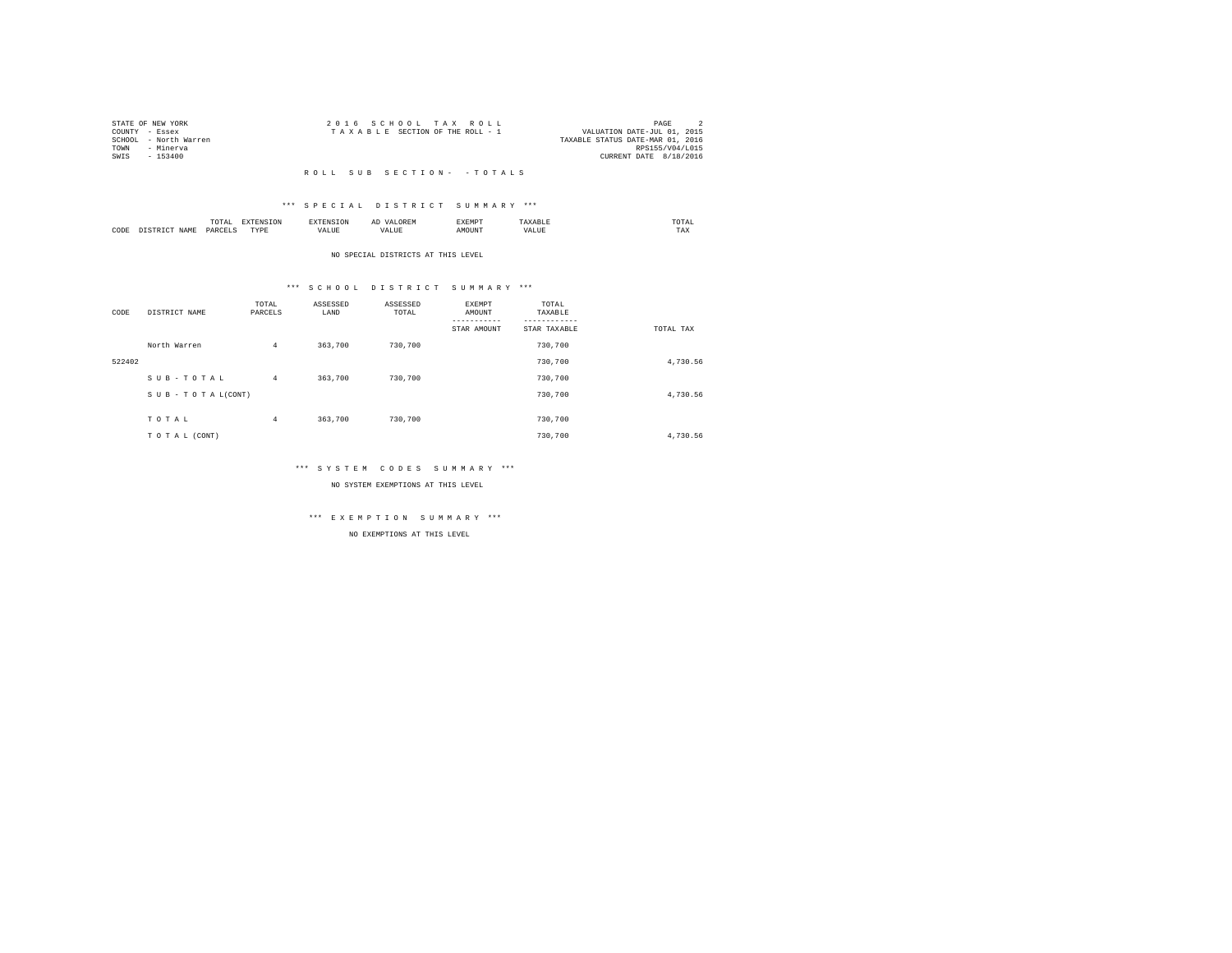|      | STATE OF NEW YORK     | 2016 SCHOOL TAX ROLL                                           | PAGE                   |  |
|------|-----------------------|----------------------------------------------------------------|------------------------|--|
|      | COUNTY - Essex        | VALUATION DATE-JUL 01, 2015<br>TAXABLE SECTION OF THE ROLL - 1 |                        |  |
|      | SCHOOL - North Warren | TAXABLE STATUS DATE-MAR 01, 2016                               |                        |  |
| TOWN | - Minerya             |                                                                | RPS155/V04/L015        |  |
| SWIS | - 153400              |                                                                | CURRENT DATE 8/18/2016 |  |
|      |                       |                                                                |                        |  |

#### \*\*\* S P E C I A L D I S T R I C T S U M M A R Y \*\*\*

|      |       | .             |                  |    | - | <b>EXEMPT</b><br>----- |           | ™UIAL<br>the contract of the contract of the contract of |  |
|------|-------|---------------|------------------|----|---|------------------------|-----------|----------------------------------------------------------|--|
| CODE | 1 A M | <b>DARCEL</b> | <b>TVDL</b><br>. | ,, |   | )UN.                   | - 19<br>. | $- - - -$<br>1 A.A                                       |  |

#### NO SPECIAL DISTRICTS AT THIS LEVEL

#### \*\*\* S C H O O L D I S T R I C T S U M M A R Y \*\*\*

| CODE   | DISTRICT NAME   | TOTAL<br>PARCELS | ASSESSED<br>LAND | ASSESSED<br>TOTAL | EXEMPT<br>AMOUNT<br>STAR AMOUNT | TOTAL<br>TAXABLE<br>STAR TAXABLE | TOTAL TAX |
|--------|-----------------|------------------|------------------|-------------------|---------------------------------|----------------------------------|-----------|
|        | North Warren    | $\overline{4}$   | 363,700          | 730,700           |                                 | 730,700                          |           |
| 522402 |                 |                  |                  |                   |                                 | 730,700                          | 4,730.56  |
|        | SUB-TOTAL       | $\overline{4}$   | 363,700          | 730,700           |                                 | 730,700                          |           |
|        | SUB-TOTAL(CONT) |                  |                  |                   |                                 | 730,700                          | 4,730.56  |
|        | TOTAL           | 4                | 363,700          | 730,700           |                                 | 730,700                          |           |
|        | TO TAL (CONT)   |                  |                  |                   |                                 | 730,700                          | 4.730.56  |

#### \*\*\* S Y S T E M C O D E S S U M M A R Y \*\*\*

NO SYSTEM EXEMPTIONS AT THIS LEVEL

## \*\*\* E X E M P T I O N S U M M A R Y \*\*\*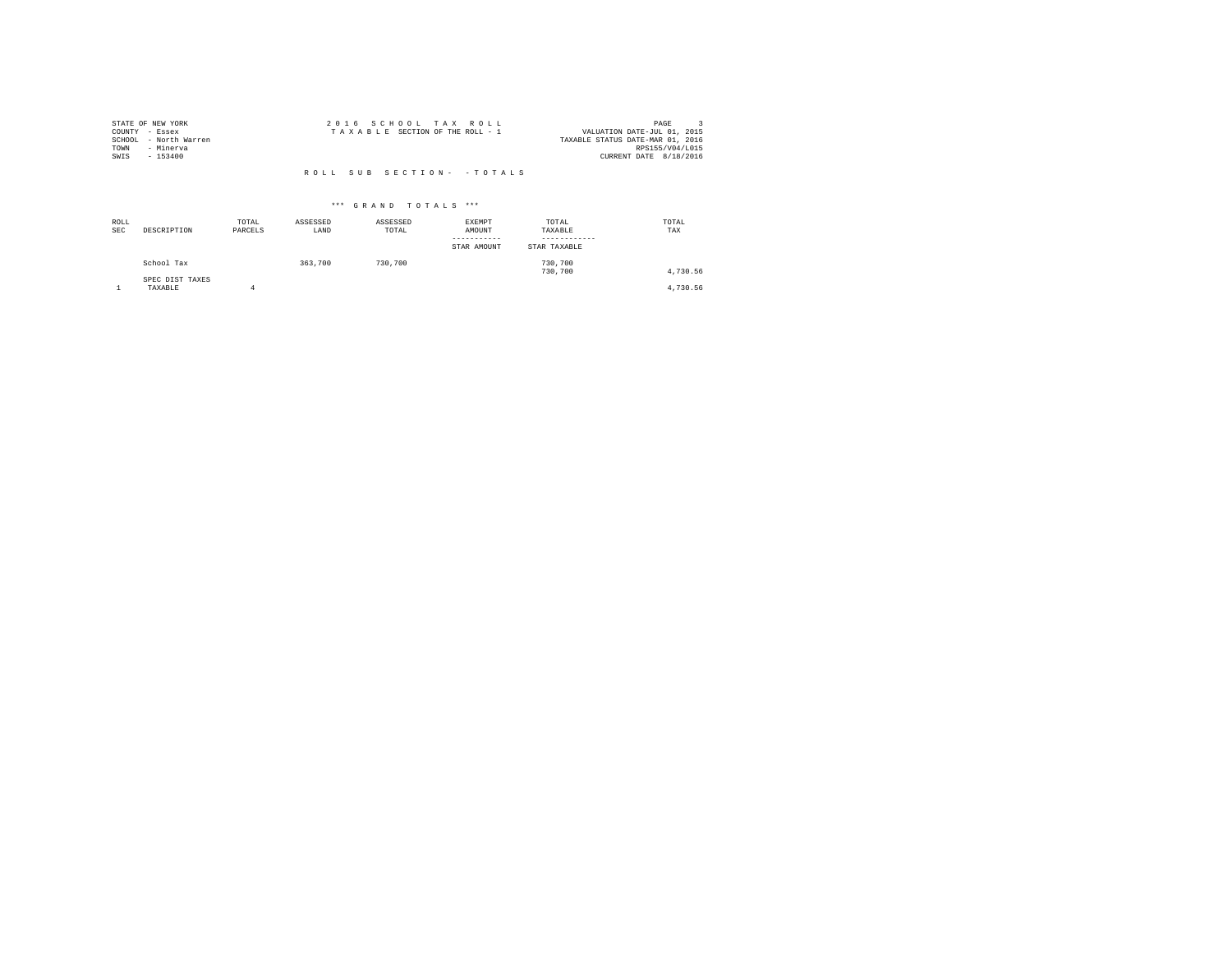| STATE OF NEW YORK |                       | 2016 SCHOOL TAX ROLL            |                            | PAGE                             |  |
|-------------------|-----------------------|---------------------------------|----------------------------|----------------------------------|--|
| COUNTY - Essex    |                       | TAXABLE SECTION OF THE ROLL - 1 |                            | VALUATION DATE-JUL 01, 2015      |  |
|                   | SCHOOL - North Warren |                                 |                            | TAXABLE STATUS DATE-MAR 01, 2016 |  |
| TOWN              | - Minerva             |                                 |                            | RPS155/V04/L015                  |  |
| SWIS              | $-153400$             |                                 |                            | CURRENT DATE 8/18/2016           |  |
|                   |                       |                                 |                            |                                  |  |
|                   |                       |                                 | ROLL SUB SECTION- - TOTALS |                                  |  |

| ROLL<br><b>SEC</b> | DESCRIPTION                | TOTAL<br>PARCELS | ASSESSED<br>LAND | ASSESSED<br>TOTAL | <b>EXEMPT</b><br>AMOUNT<br>STAR AMOUNT | TOTAL<br>TAXABLE<br>STAR TAXABLE | TOTAL<br>TAX |
|--------------------|----------------------------|------------------|------------------|-------------------|----------------------------------------|----------------------------------|--------------|
|                    | School Tax                 |                  | 363,700          | 730,700           |                                        | 730,700<br>730,700               | 4,730.56     |
|                    | SPEC DIST TAXES<br>TAXABLE |                  |                  |                   |                                        |                                  | 4,730.56     |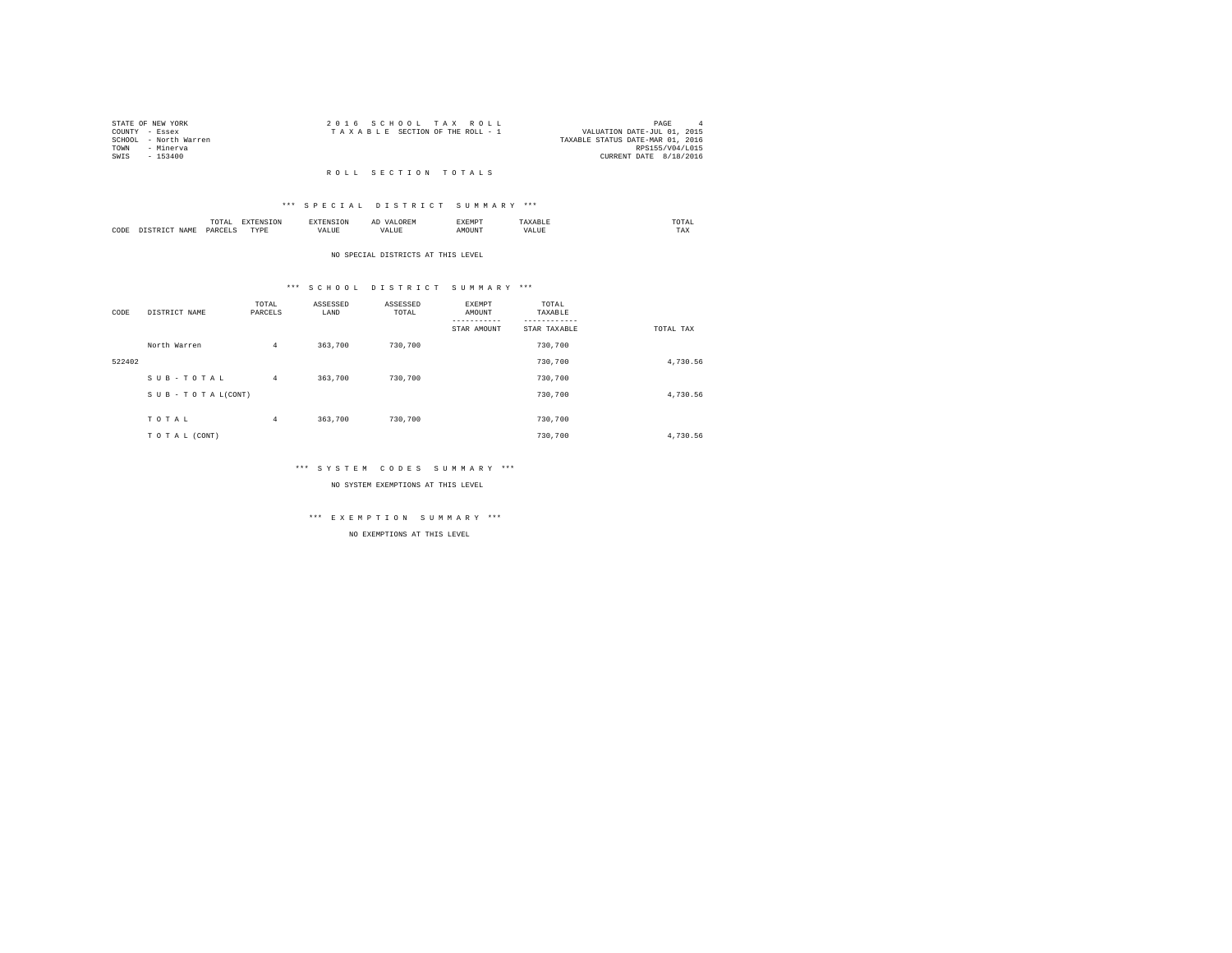| STATE OF NEW YORK |                       | 2016 SCHOOL TAX ROLL                                           | PAGE                   |  |
|-------------------|-----------------------|----------------------------------------------------------------|------------------------|--|
| COUNTY - Essex    |                       | VALUATION DATE-JUL 01, 2015<br>TAXABLE SECTION OF THE ROLL - 1 |                        |  |
|                   | SCHOOL - North Warren | TAXABLE STATUS DATE-MAR 01, 2016                               |                        |  |
| TOWN              | - Minerva             |                                                                | RPS155/V04/L015        |  |
| SWIS              | $-153400$             |                                                                | CURRENT DATE 8/18/2016 |  |
|                   |                       |                                                                |                        |  |

### R O L L S E C T I O N T O T A L S

#### \*\*\* S P E C I A L D I S T R I C T S U M M A R Y \*\*\*

|      |      | ----<br>⊶<br>.<br>the contract of the contract of the contract of | the contract of the contract of the contract of the contract of the contract of | ≖ | w n.<br>----- |   | mome<br>the contract of the contract of the contract of |
|------|------|-------------------------------------------------------------------|---------------------------------------------------------------------------------|---|---------------|---|---------------------------------------------------------|
| CODE | איתי | <b>DAR</b><br>$\sim$<br>_______                                   | TVD<br>.                                                                        | . | <b>NUNT</b>   | . | $- - -$<br>1 A.A                                        |

#### NO SPECIAL DISTRICTS AT THIS LEVEL

#### \*\*\* S C H O O L D I S T R I C T S U M M A R Y \*\*\*

| CODE   | DISTRICT NAME   | TOTAL<br>PARCELS | ASSESSED<br>LAND | ASSESSED<br>TOTAL | EXEMPT<br>AMOUNT<br>STAR AMOUNT | TOTAL<br>TAXABLE<br>STAR TAXABLE | TOTAL TAX |
|--------|-----------------|------------------|------------------|-------------------|---------------------------------|----------------------------------|-----------|
|        | North Warren    | $\overline{4}$   | 363,700          | 730,700           |                                 | 730,700                          |           |
| 522402 |                 |                  |                  |                   |                                 | 730,700                          | 4,730.56  |
|        | SUB-TOTAL       | $\overline{4}$   | 363,700          | 730,700           |                                 | 730,700                          |           |
|        | SUB-TOTAL(CONT) |                  |                  |                   |                                 | 730,700                          | 4,730.56  |
|        | TOTAL           | $\overline{4}$   | 363,700          | 730,700           |                                 | 730,700                          |           |
|        | TO TAL (CONT)   |                  |                  |                   |                                 | 730,700                          | 4.730.56  |

#### \*\*\* S Y S T E M C O D E S S U M M A R Y \*\*\*

NO SYSTEM EXEMPTIONS AT THIS LEVEL

# \*\*\* E X E M P T I O N S U M M A R Y \*\*\*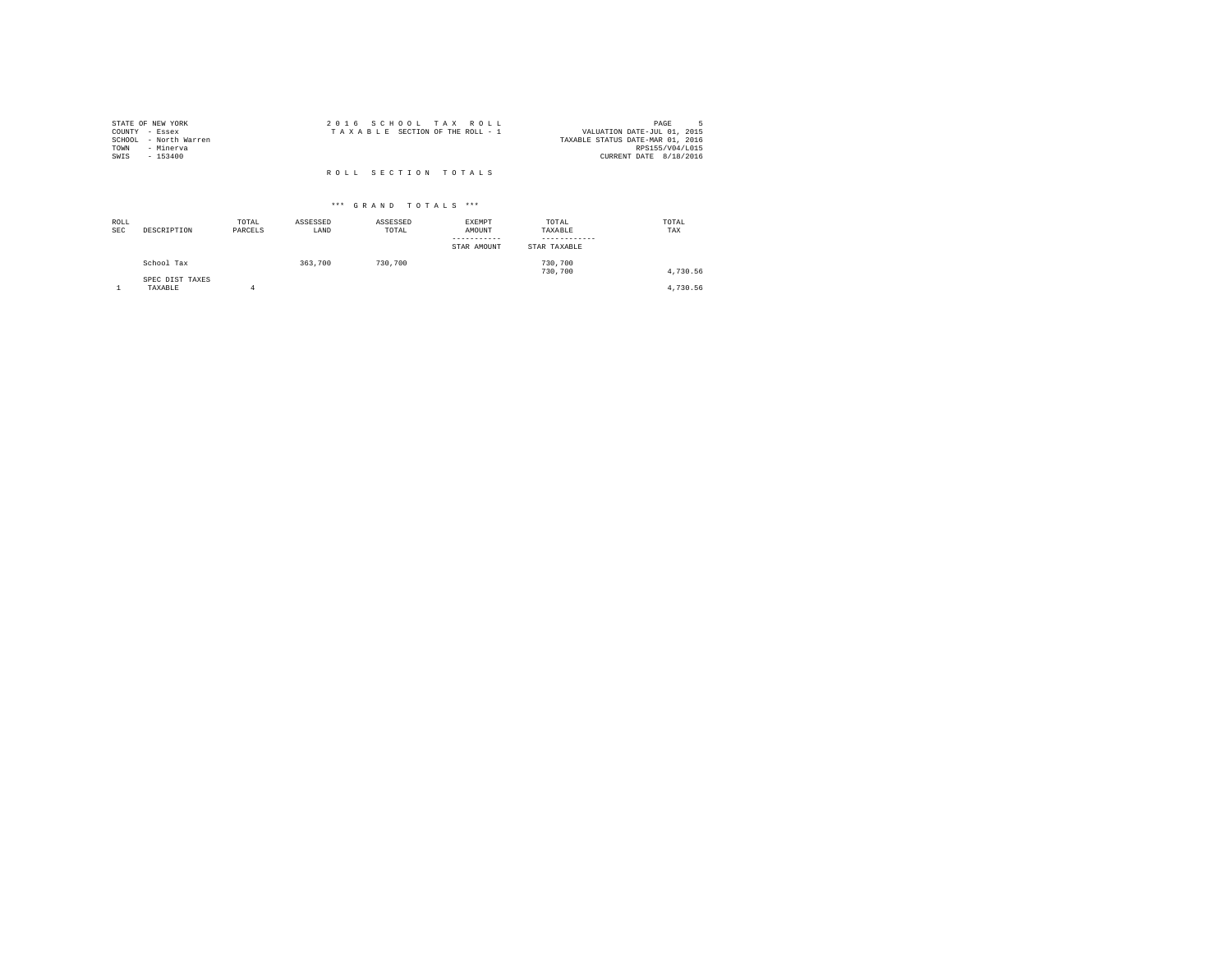| STATE OF NEW YORK     | 2016 SCHOOL TAX ROLL            | PAGE                             |
|-----------------------|---------------------------------|----------------------------------|
| COUNTY - Essex        | TAXABLE SECTION OF THE ROLL - 1 | VALUATION DATE-JUL 01, 2015      |
| SCHOOL - North Warren |                                 | TAXABLE STATUS DATE-MAR 01, 2016 |
| TOWN<br>- Minerya     |                                 | RPS155/V04/L015                  |
| SWIS<br>$-153400$     |                                 | CURRENT DATE 8/18/2016           |
|                       |                                 |                                  |
|                       | ROLL SECTION TOTALS             |                                  |

| ROLL<br>SEC | DESCRIPTION                | TOTAL<br>PARCELS | ASSESSED<br>LAND | ASSESSED<br>TOTAL | EXEMPT<br>AMOUNT<br>-----------<br>STAR AMOUNT | TOTAL<br>TAXABLE<br>---------<br>STAR TAXABLE | TOTAL<br>TAX |
|-------------|----------------------------|------------------|------------------|-------------------|------------------------------------------------|-----------------------------------------------|--------------|
|             | School Tax                 |                  | 363,700          | 730,700           |                                                | 730,700<br>730,700                            | 4,730.56     |
|             | SPEC DIST TAXES<br>TAXABLE | 4                |                  |                   |                                                |                                               | 4,730.56     |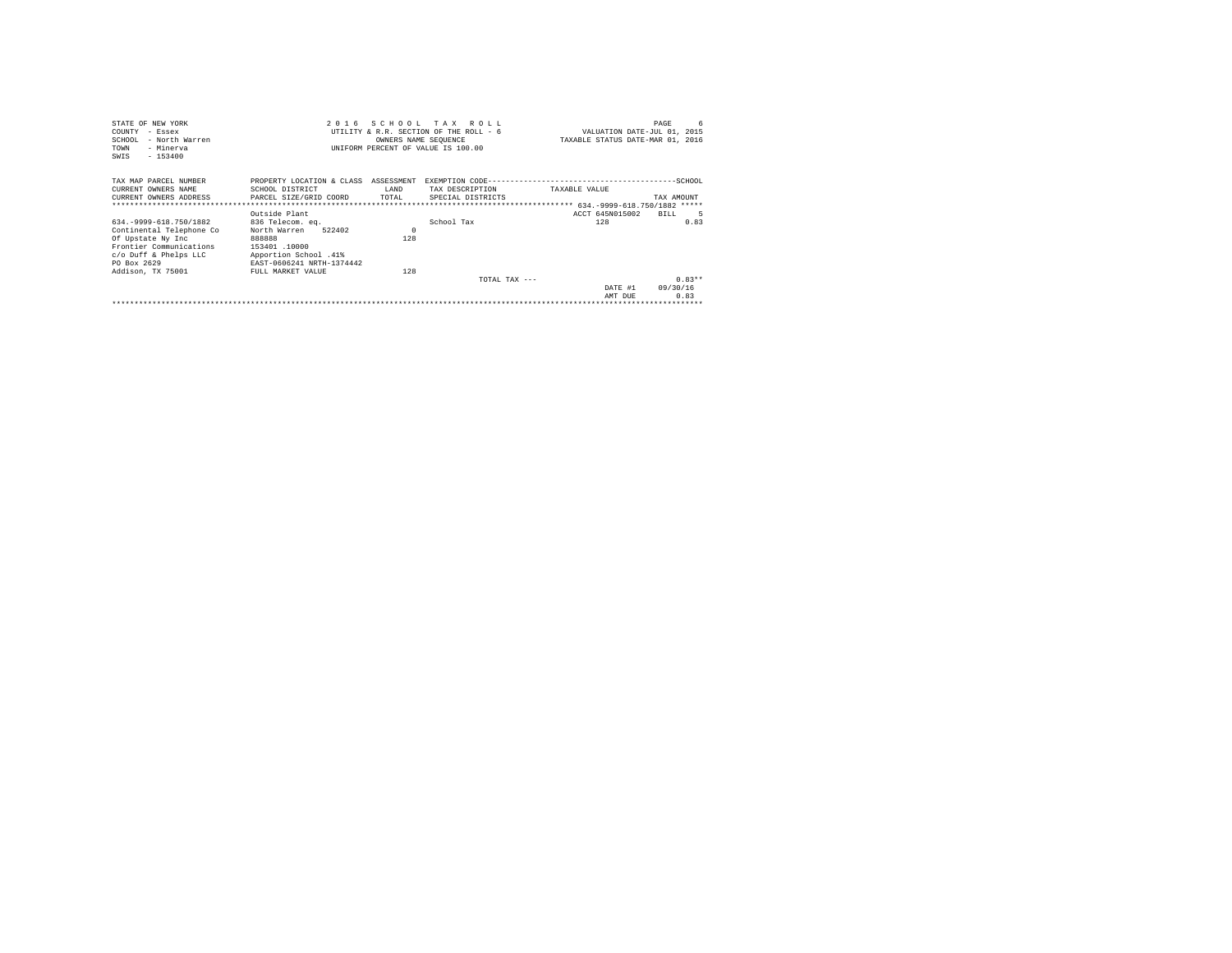| STATE OF NEW YORK                                     |                           |                      | 2016 SCHOOL TAX ROLL                   |               |                                  | 6<br>PAGE  |
|-------------------------------------------------------|---------------------------|----------------------|----------------------------------------|---------------|----------------------------------|------------|
| COUNTY<br>$-$ Essex                                   |                           |                      | UTILITY & R.R. SECTION OF THE ROLL - 6 |               | VALUATION DATE-JUL 01, 2015      |            |
| SCHOOL<br>- North Warren                              |                           | OWNERS NAME SEQUENCE |                                        |               | TAXABLE STATUS DATE-MAR 01, 2016 |            |
| - Minerva<br>TOWN                                     |                           |                      | UNIFORM PERCENT OF VALUE IS 100.00     |               |                                  |            |
| $-153400$<br>SWIS                                     |                           |                      |                                        |               |                                  |            |
|                                                       |                           |                      |                                        |               |                                  |            |
| TAX MAP PARCEL NUMBER                                 | PROPERTY LOCATION & CLASS | ASSESSMENT           |                                        |               |                                  |            |
| CURRENT OWNERS NAME                                   | SCHOOL DISTRICT           | LAND                 | TAX DESCRIPTION                        | TAXABLE VALUE |                                  |            |
| CURRENT OWNERS ADDRESS . PARCEL SIZE/GRID COORD TOTAL |                           |                      | SPECIAL DISTRICTS                      |               |                                  | TAX AMOUNT |
|                                                       |                           |                      |                                        |               |                                  |            |
|                                                       | Outside Plant             |                      |                                        |               | ACCT 645N015002                  | BILL.      |
| 634. - 9999-618. 750/1882                             | 836 Telecom, eq.          |                      | School Tax                             |               | 128                              | 0.83       |
| Continental Telephone Co                              | 522402<br>North Warren    | $\Omega$             |                                        |               |                                  |            |
| Of Upstate Ny Inc                                     | 888888                    | 128                  |                                        |               |                                  |            |
| Frontier Communications                               | 153401.10000              |                      |                                        |               |                                  |            |
| c/o Duff & Phelps LLC                                 | Apportion School .41%     |                      |                                        |               |                                  |            |
| PO Box 2629                                           | EAST-0606241 NRTH-1374442 |                      |                                        |               |                                  |            |
| Addison, TX 75001                                     | FULL MARKET VALUE         | 128                  |                                        |               |                                  |            |
|                                                       |                           |                      | TOTAL TAX $---$                        |               |                                  | $0.83**$   |
|                                                       |                           |                      |                                        |               | DATE #1                          | 09/30/16   |
|                                                       |                           |                      |                                        |               | AMT DUE                          | 0.83       |
|                                                       |                           |                      |                                        |               |                                  |            |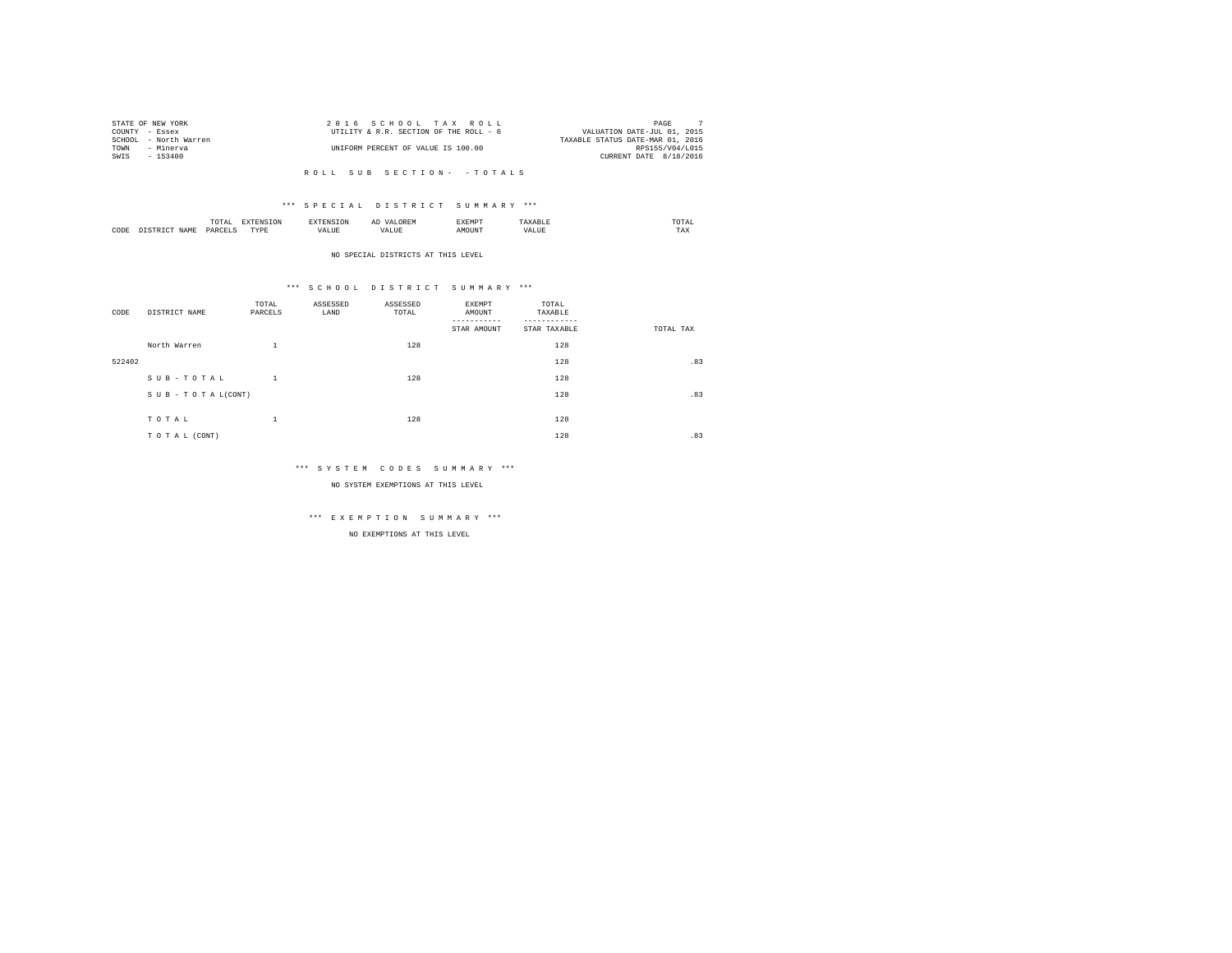|      | STATE OF NEW YORK     | 2016 SCHOOL TAX ROLL                   | PAGE                             |
|------|-----------------------|----------------------------------------|----------------------------------|
|      | COUNTY - Essex        | UTILITY & R.R. SECTION OF THE ROLL - 6 | VALUATION DATE-JUL 01, 2015      |
|      | SCHOOL - North Warren |                                        | TAXABLE STATUS DATE-MAR 01, 2016 |
| TOWN | - Minerva             | UNIFORM PERCENT OF VALUE IS 100.00     | RPS155/V04/L015                  |
| SWTS | $-153400$             |                                        | CURRENT DATE 8/18/2016           |
|      |                       |                                        |                                  |

#### \*\*\* S P E C I A L D I S T R I C T S U M M A R Y \*\*\*

|      | <b>TRAFFIC</b><br>TAI<br>the contract of the contract of the contract of |            | A. | <b>************</b><br>عدد |   | JIAI<br>the contract of the contract of the contract of |
|------|--------------------------------------------------------------------------|------------|----|----------------------------|---|---------------------------------------------------------|
| CODE | PARC                                                                     | TVDR.<br>. |    | זר                         | n | 1 M.A                                                   |

#### NO SPECIAL DISTRICTS AT THIS LEVEL

#### \*\*\* S C H O O L D I S T R I C T S U M M A R Y \*\*\*

| CODE   | DISTRICT NAME      | TOTAL<br>PARCELS | ASSESSED<br>LAND | ASSESSED<br>TOTAL | EXEMPT<br>AMOUNT<br>--------<br>STAR AMOUNT | TOTAL<br>TAXABLE<br>STAR TAXABLE | TOTAL TAX |
|--------|--------------------|------------------|------------------|-------------------|---------------------------------------------|----------------------------------|-----------|
|        | North Warren       | $\mathbf{1}$     |                  | 128               |                                             | 128                              |           |
| 522402 |                    |                  |                  |                   |                                             | 128                              | .83       |
|        | SUB-TOTAL          | $\mathbf{1}$     |                  | 128               |                                             | 128                              |           |
|        | SUB - TO TAL(CONT) |                  |                  |                   |                                             | 128                              | .83       |
|        | TOTAL              | $\mathbf{1}$     |                  | 128               |                                             | 128                              |           |
|        | TO TAL (CONT)      |                  |                  |                   |                                             | 128                              | .83       |

#### \*\*\* S Y S T E M C O D E S S U M M A R Y \*\*\*

NO SYSTEM EXEMPTIONS AT THIS LEVEL

# \*\*\* E X E M P T I O N S U M M A R Y \*\*\*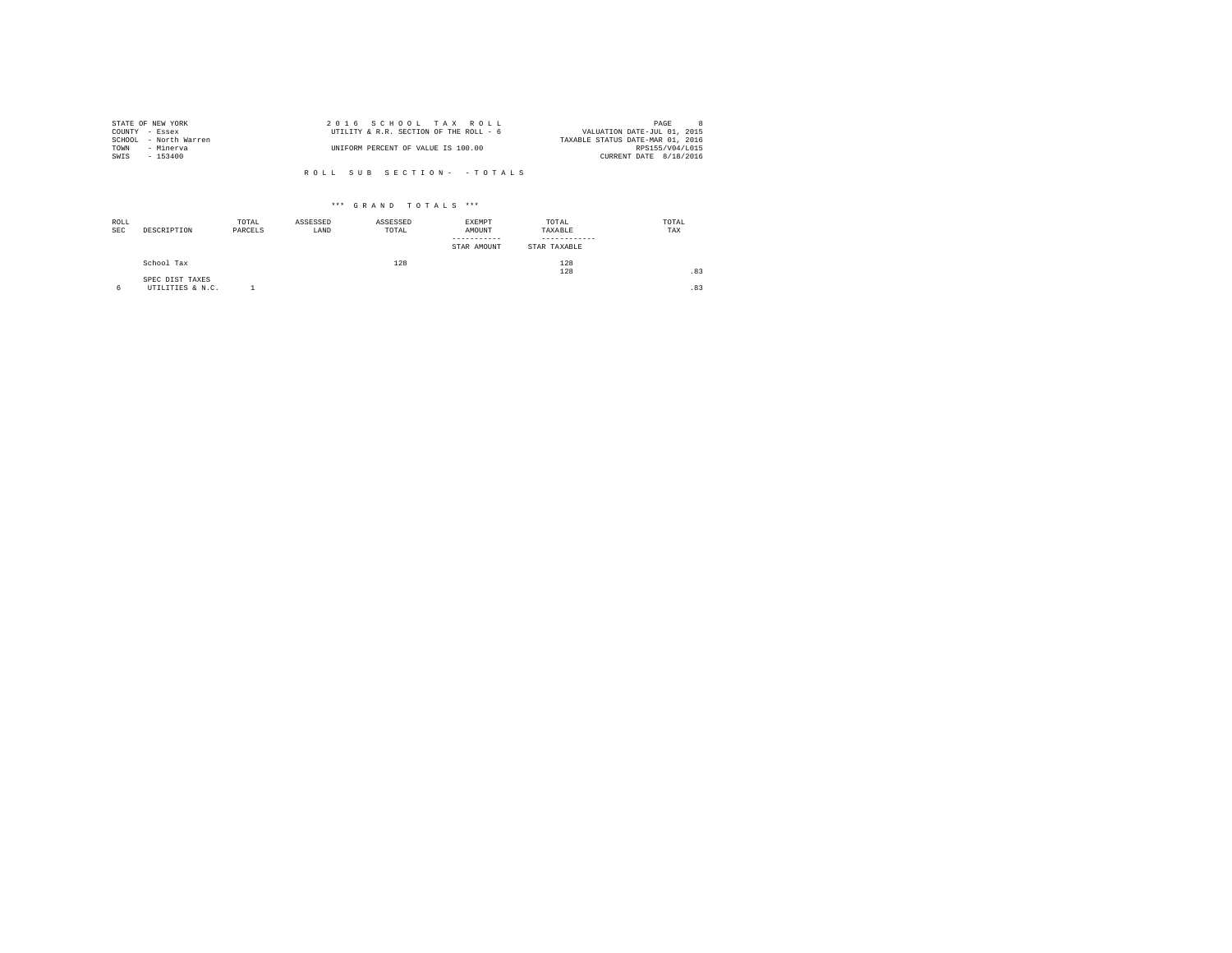| STATE OF NEW YORK     | 2016 SCHOOL TAX ROLL                   |  |                                  | PAGE            |  |
|-----------------------|----------------------------------------|--|----------------------------------|-----------------|--|
| COUNTY - Essex        | UTILITY & R.R. SECTION OF THE ROLL - 6 |  | VALUATION DATE-JUL 01, 2015      |                 |  |
| SCHOOL - North Warren |                                        |  | TAXABLE STATUS DATE-MAR 01, 2016 |                 |  |
| TOWN<br>- Minerva     | UNIFORM PERCENT OF VALUE IS 100.00     |  |                                  | RPS155/V04/L015 |  |
| SWTS<br>$-153400$     |                                        |  | CURRENT DATE 8/18/2016           |                 |  |
|                       |                                        |  |                                  |                 |  |

| ROLL<br><b>SEC</b> | DESCRIPTION                         | TOTAL<br>PARCELS | ASSESSED<br>LAND | ASSESSED<br>TOTAL | EXEMPT<br>AMOUNT<br>--------<br>STAR AMOUNT | TOTAL<br>TAXABLE<br>STAR TAXABLE | TOTAL<br>TAX |
|--------------------|-------------------------------------|------------------|------------------|-------------------|---------------------------------------------|----------------------------------|--------------|
|                    | School Tax                          |                  |                  | 128               |                                             | 128<br>128                       | .83          |
| 6                  | SPEC DIST TAXES<br>UTILITIES & N.C. |                  |                  |                   |                                             |                                  | .83          |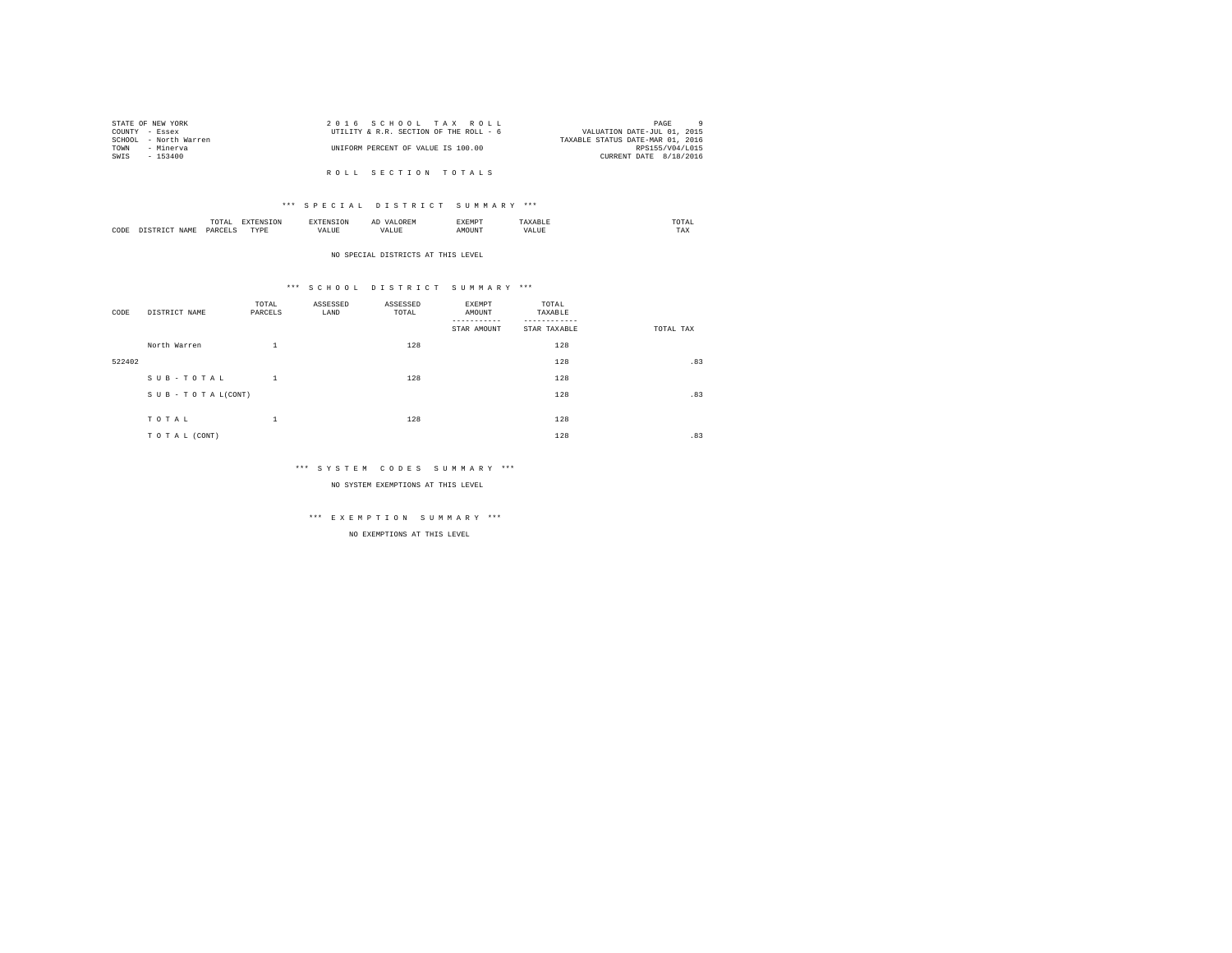|                | STATE OF NEW YORK     | 2016 SCHOOL TAX ROLL                   | PAGE                             |
|----------------|-----------------------|----------------------------------------|----------------------------------|
| COUNTY - Essex |                       | UTILITY & R.R. SECTION OF THE ROLL - 6 | VALUATION DATE-JUL 01, 2015      |
|                | SCHOOL - North Warren |                                        | TAXABLE STATUS DATE-MAR 01, 2016 |
| TOWN           | - Minerva             | UNIFORM PERCENT OF VALUE IS 100.00     | RPS155/V04/L015                  |
| SWIS           | $-153400$             |                                        | CURRENT DATE 8/18/2016           |
|                |                       |                                        |                                  |
|                |                       | ROLL SECTION TOTALS                    |                                  |

|      | moms<br>.<br>the contract of the contract of the contract of | the contract of the contract of the contract of the contract of the contract of | and the contract of the contract of the contract of the contract of the contract of the contract of the contract of the contract of the contract of the contract of the contract of the contract of the contract of the contra | --------<br>----- | , , , ,<br>the contract of the contract of the contract of |
|------|--------------------------------------------------------------|---------------------------------------------------------------------------------|--------------------------------------------------------------------------------------------------------------------------------------------------------------------------------------------------------------------------------|-------------------|------------------------------------------------------------|
| CODE | PAR                                                          | TVD <sub>k</sub><br>.                                                           |                                                                                                                                                                                                                                |                   | $- - -$<br>مصا                                             |

#### NO SPECIAL DISTRICTS AT THIS LEVEL

#### \*\*\* S C H O O L D I S T R I C T S U M M A R Y \*\*\*

| CODE   | DISTRICT NAME   | TOTAL<br>PARCELS   | ASSESSED<br>LAND | ASSESSED<br>TOTAL | EXEMPT<br>AMOUNT<br>STAR AMOUNT | TOTAL<br>TAXABLE<br>STAR TAXABLE | TOTAL TAX |
|--------|-----------------|--------------------|------------------|-------------------|---------------------------------|----------------------------------|-----------|
|        | North Warren    | ÷.                 |                  | 128               |                                 | 128                              |           |
| 522402 |                 |                    |                  |                   |                                 | 128                              | .83       |
|        | SUB-TOTAL       | $\mathbf{1}$       |                  | 128               |                                 | 128                              |           |
|        | SUB-TOTAL(CONT) |                    |                  |                   |                                 | 128                              | .83       |
|        | TOTAL           | $\mathbf{A}$<br>÷. |                  | 128               |                                 | 128                              |           |
|        | TO TAL (CONT)   |                    |                  |                   |                                 | 128                              | .83       |

#### \*\*\* S Y S T E M C O D E S S U M M A R Y \*\*\*

NO SYSTEM EXEMPTIONS AT THIS LEVEL

# \*\*\* E X E M P T I O N S U M M A R Y \*\*\*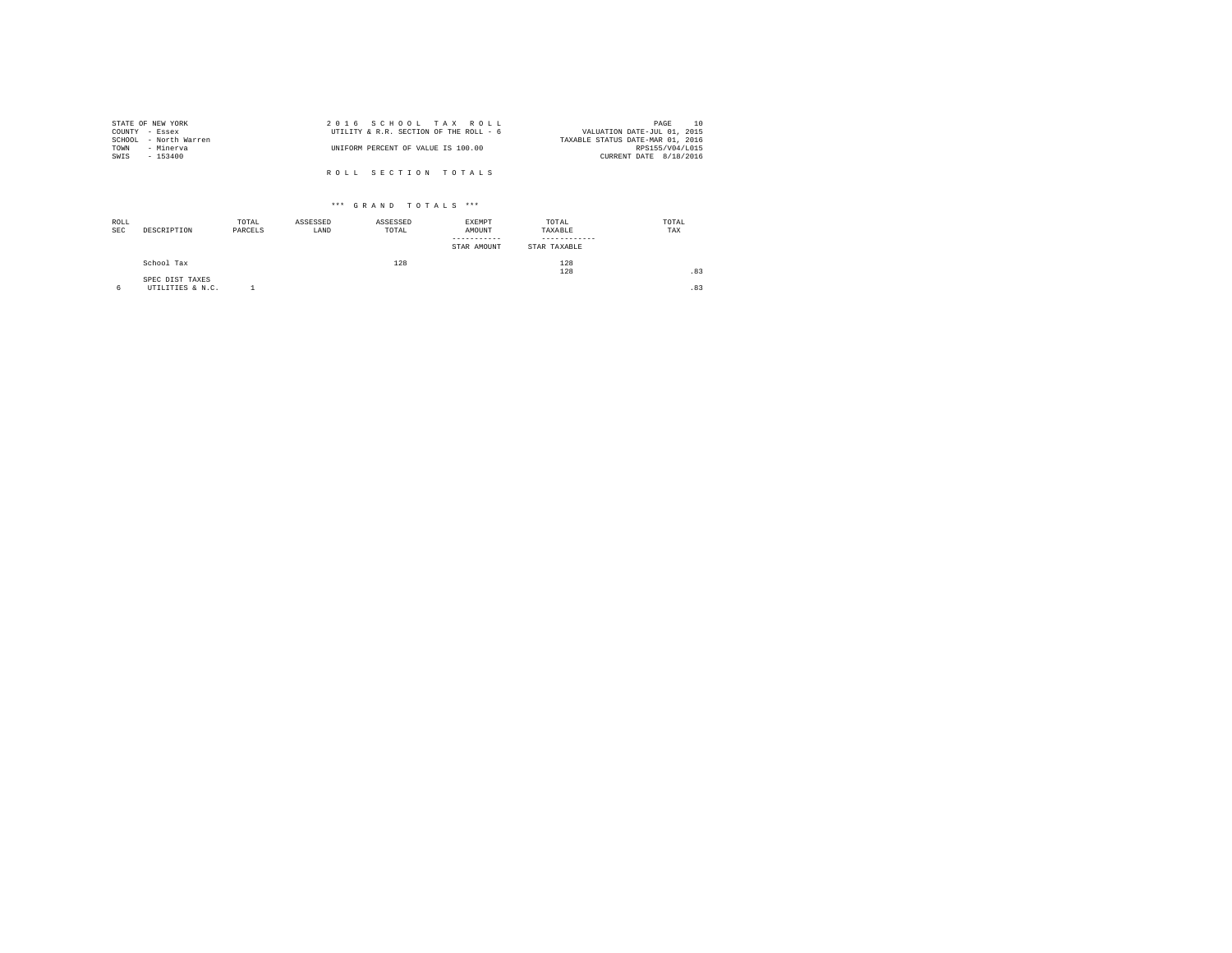| STATE OF NEW YORK     | 2016 SCHOOL TAX ROLL                   | 10<br>PAGE                       |
|-----------------------|----------------------------------------|----------------------------------|
| COUNTY - Essex        | UTILITY & R.R. SECTION OF THE ROLL - 6 | VALUATION DATE-JUL 01, 2015      |
| SCHOOL - North Warren |                                        | TAXABLE STATUS DATE-MAR 01, 2016 |
| TOWN<br>- Minerva     | UNIFORM PERCENT OF VALUE IS 100.00     | RPS155/V04/L015                  |
| SWIS<br>- 153400      |                                        | CURRENT DATE 8/18/2016           |
|                       |                                        |                                  |
|                       | ROLL SECTION TOTALS                    |                                  |

| ROLL<br><b>SEC</b> | DESCRIPTION                         | TOTAL<br>PARCELS | ASSESSED<br>LAND | ASSESSED<br>TOTAL | EXEMPT<br>AMOUNT<br>-----------<br>STAR AMOUNT | TOTAL<br>TAXABLE<br>STAR TAXABLE | TOTAL<br>TAX |
|--------------------|-------------------------------------|------------------|------------------|-------------------|------------------------------------------------|----------------------------------|--------------|
|                    | School Tax                          |                  |                  | 128               |                                                | 128<br>128                       | .83          |
| 6                  | SPEC DIST TAXES<br>UTILITIES & N.C. |                  |                  |                   |                                                |                                  | .83          |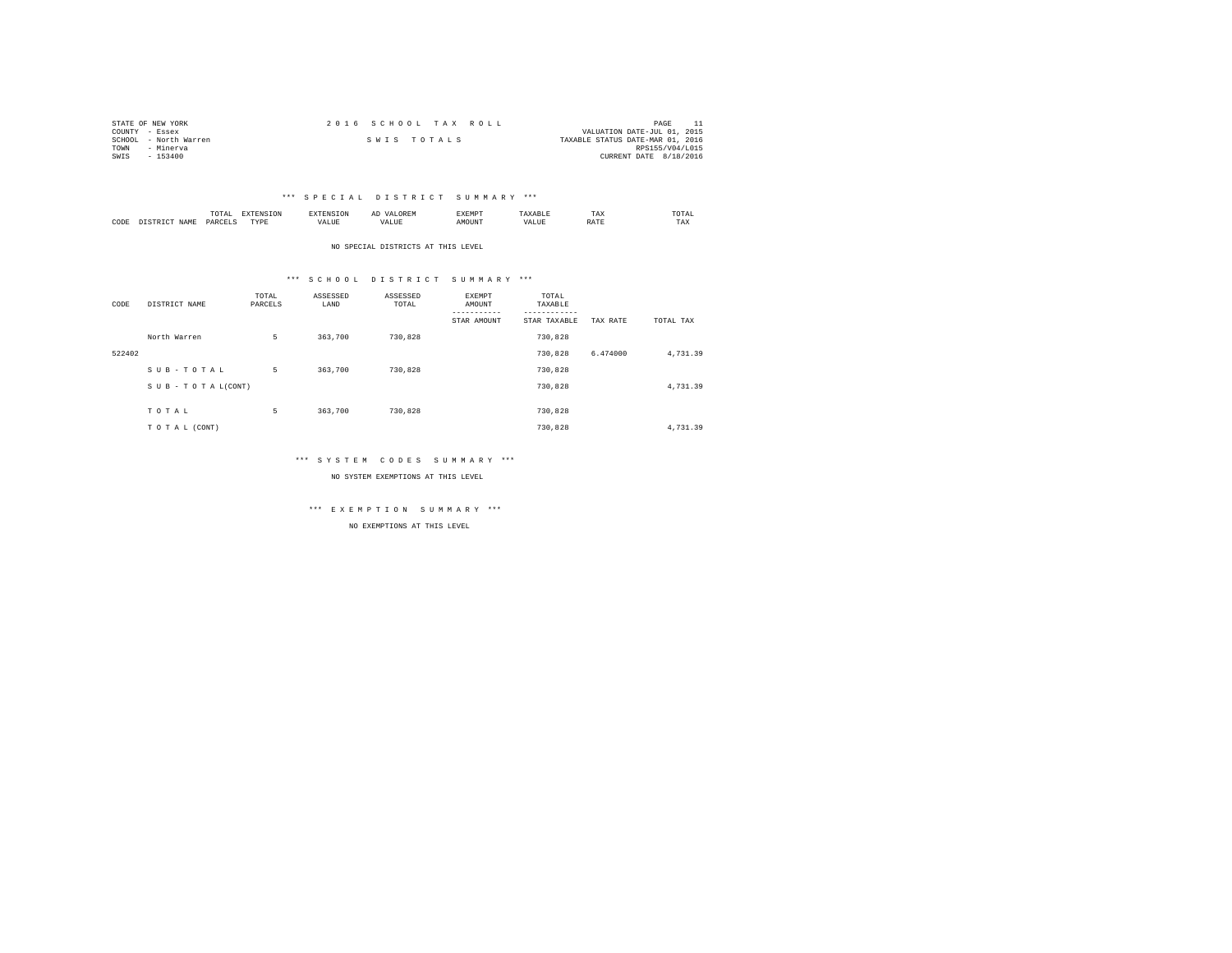| STATE OF NEW YORK     | 2016 SCHOOL TAX ROLL | PAGE                             |
|-----------------------|----------------------|----------------------------------|
| COUNTY - Essex        |                      | VALUATION DATE-JUL 01, 2015      |
| SCHOOL - North Warren | SWIS TOTALS          | TAXABLE STATUS DATE-MAR 01, 2016 |
| TOWN<br>- Minerva     |                      | RPS155/V04/L015                  |
| $-153400$<br>SWIS     |                      | CURRENT DATE 8/18/2016           |

|           |                      | 1 U 1 M 1<br>the contract of the contract of the contract of | ---------------  |      | $\sim$<br>. |   | 1 A.A        | 'UIA.<br>the contract of the contract of the contract of |
|-----------|----------------------|--------------------------------------------------------------|------------------|------|-------------|---|--------------|----------------------------------------------------------|
| CODE<br>. | <b>NAME</b><br>11.12 | レムト                                                          | <b>TIDE</b><br>. | ALUE |             | n | <b>Shown</b> | TAX                                                      |

NO SPECIAL DISTRICTS AT THIS LEVEL

#### \*\*\* S C H O O L D I S T R I C T S U M M A R Y \*\*\*

| CODE   | DISTRICT NAME   | TOTAL<br>PARCELS | ASSESSED<br>LAND | ASSESSED<br>TOTAL | <b>EXEMPT</b><br>AMOUNT<br>----------- | TOTAL<br>TAXABLE<br>--------- |          |           |
|--------|-----------------|------------------|------------------|-------------------|----------------------------------------|-------------------------------|----------|-----------|
|        |                 |                  |                  |                   | STAR AMOUNT                            | STAR TAXABLE                  | TAX RATE | TOTAL TAX |
|        | North Warren    | 5                | 363,700          | 730,828           |                                        | 730.828                       |          |           |
| 522402 |                 |                  |                  |                   |                                        | 730.828                       | 6.474000 | 4.731.39  |
|        | SUB-TOTAL       | 5                | 363,700          | 730.828           |                                        | 730.828                       |          |           |
|        | SUB-TOTAL(CONT) |                  |                  |                   |                                        | 730.828                       |          | 4,731.39  |
|        |                 |                  |                  |                   |                                        |                               |          |           |
|        | TOTAL           | 5                | 363,700          | 730.828           |                                        | 730.828                       |          |           |
|        | TO TAL (CONT)   |                  |                  |                   |                                        | 730.828                       |          | 4,731.39  |

#### \*\*\* S Y S T E M C O D E S S U M M A R Y \*\*\*

NO SYSTEM EXEMPTIONS AT THIS LEVEL

\*\*\* E X E M P T I O N S U M M A R Y \*\*\*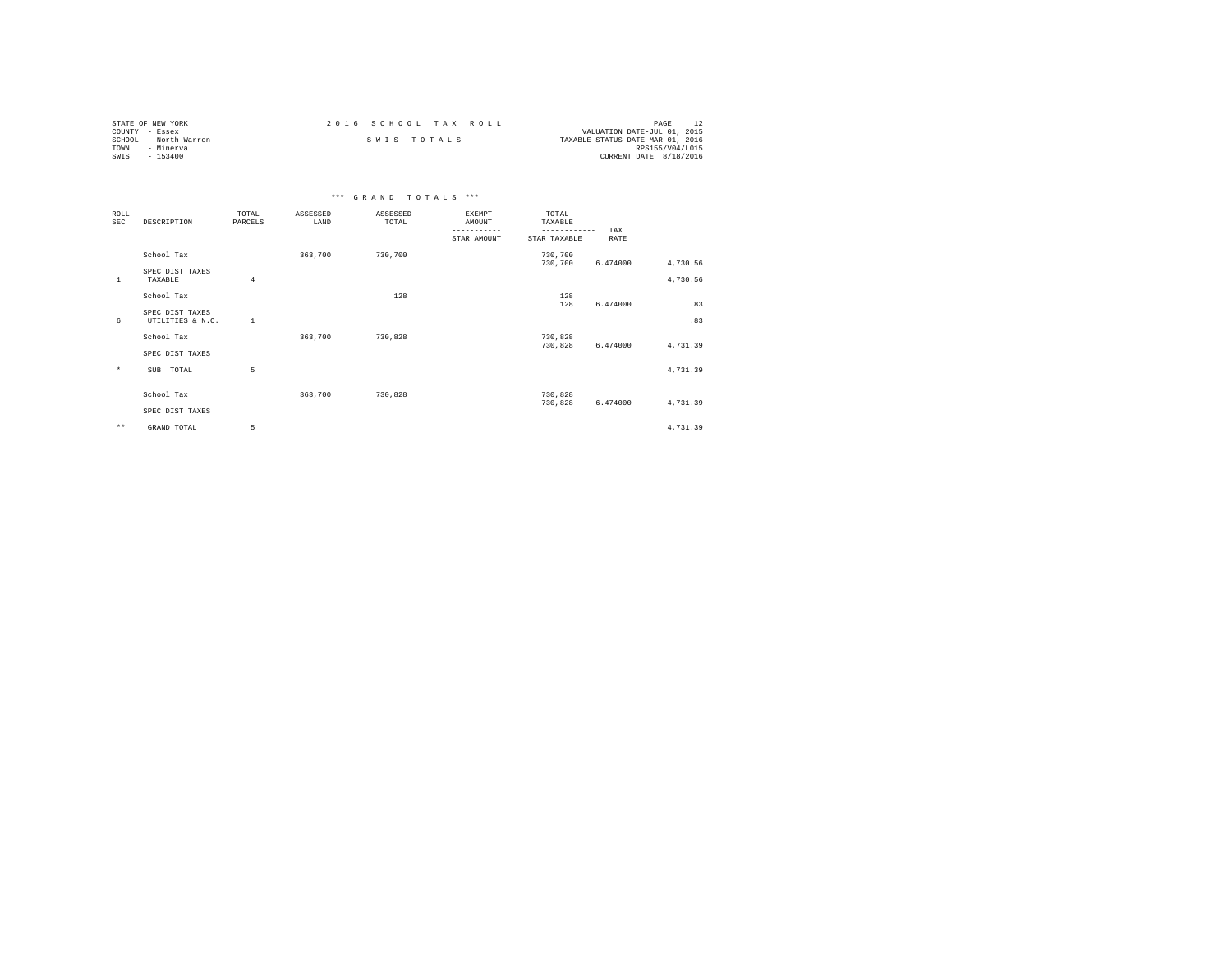| STATE OF NEW YORK     | 2016 SCHOOL TAX ROLL | PAGE                             |
|-----------------------|----------------------|----------------------------------|
| COUNTY - Essex        |                      | VALUATION DATE-JUL 01, 2015      |
| SCHOOL - North Warren | SWIS TOTALS          | TAXABLE STATUS DATE-MAR 01, 2016 |
| TOWN<br>- Minerva     |                      | RPS155/V04/L015                  |
| SWIS<br>- 153400      |                      | CURRENT DATE 8/18/2016           |

|                    | *** GRAND TOTALS ***                |                  |                  |                   |                                                       |                                                  |                    |          |  |  |  |
|--------------------|-------------------------------------|------------------|------------------|-------------------|-------------------------------------------------------|--------------------------------------------------|--------------------|----------|--|--|--|
| ROLL<br><b>SEC</b> | DESCRIPTION                         | TOTAL<br>PARCELS | ASSESSED<br>LAND | ASSESSED<br>TOTAL | <b>EXEMPT</b><br>AMOUNT<br>$- - - - -$<br>STAR AMOUNT | TOTAL<br>TAXABLE<br>------------<br>STAR TAXABLE | TAX<br><b>RATE</b> |          |  |  |  |
|                    | School Tax                          |                  | 363,700          | 730,700           |                                                       | 730,700<br>730,700                               | 6.474000           | 4,730.56 |  |  |  |
| $\mathbf{1}$       | SPEC DIST TAXES<br>TAXABLE          | $\overline{4}$   |                  |                   |                                                       |                                                  |                    | 4,730.56 |  |  |  |
|                    | School Tax                          |                  |                  | 128               |                                                       | 128<br>128                                       | 6.474000           | .83      |  |  |  |
| 6                  | SPEC DIST TAXES<br>UTILITIES & N.C. | $\mathbf{1}$     |                  |                   |                                                       |                                                  |                    | .83      |  |  |  |
|                    | School Tax                          |                  | 363,700          | 730.828           |                                                       | 730,828<br>730,828                               | 6.474000           | 4,731.39 |  |  |  |
|                    | SPEC DIST TAXES                     |                  |                  |                   |                                                       |                                                  |                    |          |  |  |  |
| $\star$            | <b>SUB</b><br>TOTAL                 | 5                |                  |                   |                                                       |                                                  |                    | 4,731.39 |  |  |  |
|                    | School Tax                          |                  | 363,700          | 730.828           |                                                       | 730,828<br>730,828                               | 6.474000           | 4,731.39 |  |  |  |
|                    | SPEC DIST TAXES                     |                  |                  |                   |                                                       |                                                  |                    |          |  |  |  |
| $\star\star$       | GRAND TOTAL                         | 5                |                  |                   |                                                       |                                                  |                    | 4,731.39 |  |  |  |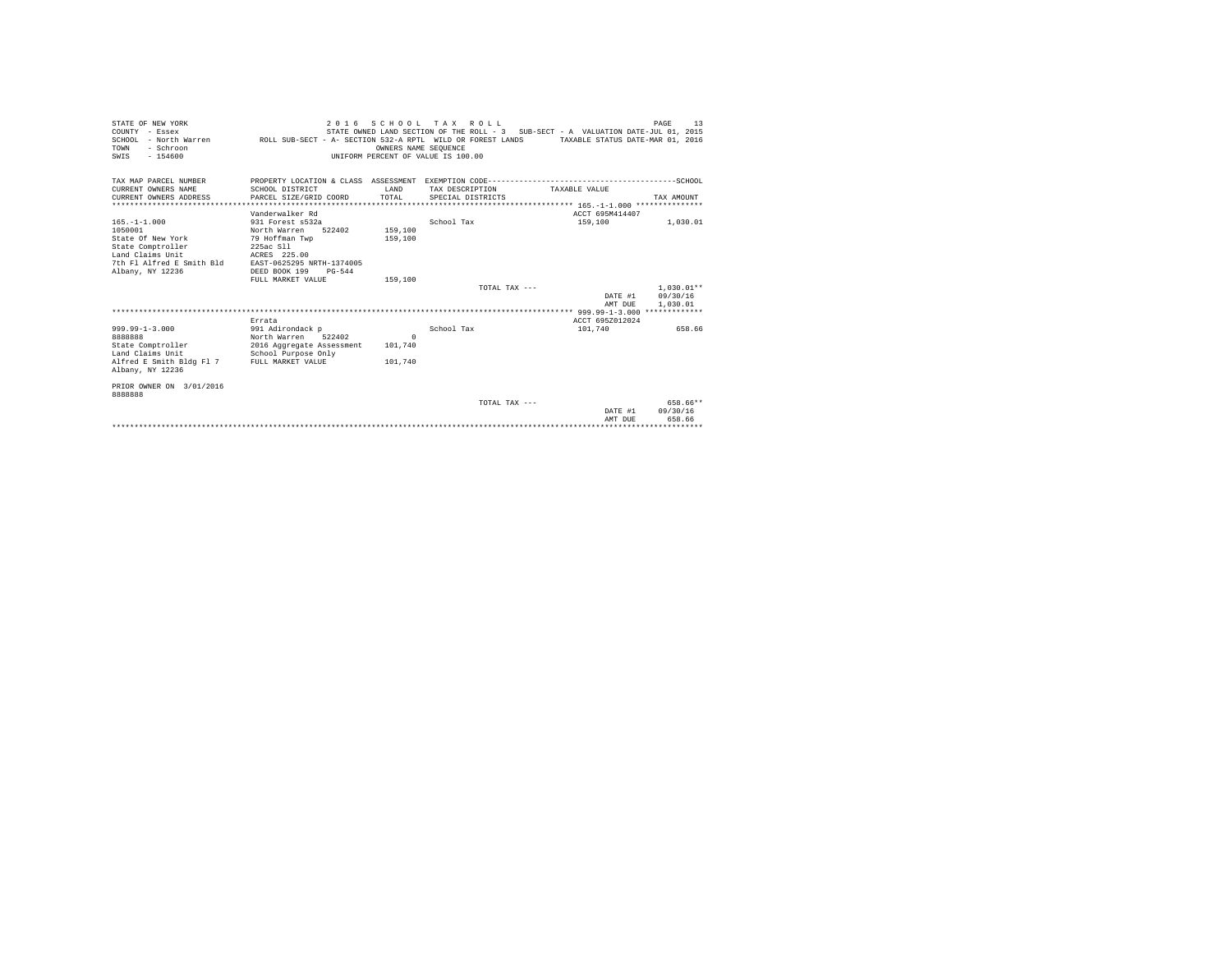| STATE OF NEW YORK<br>COUNTY - Essex<br>SCHOOL - North Warren ROLL SUB-SECT - A- SECTION 532-A RPTL WILD OR FOREST LANDS TAXABLE STATUS DATE-MAR 01, 2016<br>- Schroon<br>TOWN<br>$-154600$<br>SWIS |                                                                                                                                                                          | OWNERS NAME SEOUENCE<br>UNIFORM PERCENT OF VALUE IS 100.00 | 2016 SCHOOL TAX ROLL                 | STATE OWNED LAND SECTION OF THE ROLL - 3 SUB-SECT - A VALUATION DATE-JUL 01, 2015 | PAGE<br>13       |
|----------------------------------------------------------------------------------------------------------------------------------------------------------------------------------------------------|--------------------------------------------------------------------------------------------------------------------------------------------------------------------------|------------------------------------------------------------|--------------------------------------|-----------------------------------------------------------------------------------|------------------|
| TAX MAP PARCEL NUMBER                                                                                                                                                                              |                                                                                                                                                                          |                                                            |                                      |                                                                                   |                  |
| CURRENT OWNERS NAME<br>CURRENT OWNERS ADDRESS                                                                                                                                                      | SCHOOL DISTRICT<br>PARCEL SIZE/GRID COORD                                                                                                                                | <b>T.AND</b><br>TOTAL                                      | TAX DESCRIPTION<br>SPECIAL DISTRICTS | TAXARLE VALUE                                                                     | TAX AMOUNT       |
|                                                                                                                                                                                                    |                                                                                                                                                                          |                                                            |                                      |                                                                                   |                  |
|                                                                                                                                                                                                    | Vanderwalker Rd                                                                                                                                                          |                                                            |                                      | ACCT 695M414407                                                                   |                  |
| $165. - 1 - 1.000$<br>1050001<br>State Of New York<br>State Comptroller<br>Land Claims Unit<br>7th Fl Alfred E Smith Bld<br>Albany, NY 12236                                                       | 931 Forest s532a<br>North Warren<br>522402<br>79 Hoffman Twp<br>225ac S11<br>ACRES 225.00<br>EAST-0625295 NRTH-1374005<br>DEED BOOK 199<br>$PG-544$<br>FULL MARKET VALUE | 159,100<br>159,100<br>159,100                              | School Tax                           | 159,100                                                                           | 1,030.01         |
|                                                                                                                                                                                                    |                                                                                                                                                                          |                                                            | TOTAL TAX ---                        |                                                                                   | $1.030.01**$     |
|                                                                                                                                                                                                    |                                                                                                                                                                          |                                                            |                                      |                                                                                   | DATE #1 09/30/16 |
|                                                                                                                                                                                                    |                                                                                                                                                                          |                                                            |                                      | AMT DUE                                                                           | 1,030.01         |
|                                                                                                                                                                                                    | Errata                                                                                                                                                                   |                                                            |                                      | ACCT 695Z012024                                                                   |                  |
| $999.99 - 1 - 3.000$<br>8888888                                                                                                                                                                    | 991 Adirondack p<br>North Warren 522402                                                                                                                                  | $\Omega$                                                   | School Tax                           | 101,740                                                                           | 658.66           |
| State Comptroller                                                                                                                                                                                  | 2016 Aggregate Assessment                                                                                                                                                | 101,740                                                    |                                      |                                                                                   |                  |
| Land Claims Unit<br>Alfred E Smith Bldg Fl 7<br>Albany, NY 12236                                                                                                                                   | School Purpose Only<br>FULL MARKET VALUE                                                                                                                                 | 101,740                                                    |                                      |                                                                                   |                  |
| PRIOR OWNER ON 3/01/2016<br>8888888                                                                                                                                                                |                                                                                                                                                                          |                                                            |                                      |                                                                                   |                  |
|                                                                                                                                                                                                    |                                                                                                                                                                          |                                                            | TOTAL TAX ---                        |                                                                                   | 658.66**         |
|                                                                                                                                                                                                    |                                                                                                                                                                          |                                                            |                                      | DATE #1                                                                           | 09/30/16         |
|                                                                                                                                                                                                    |                                                                                                                                                                          |                                                            |                                      | AMT DUE<br>****************************                                           | 658.66           |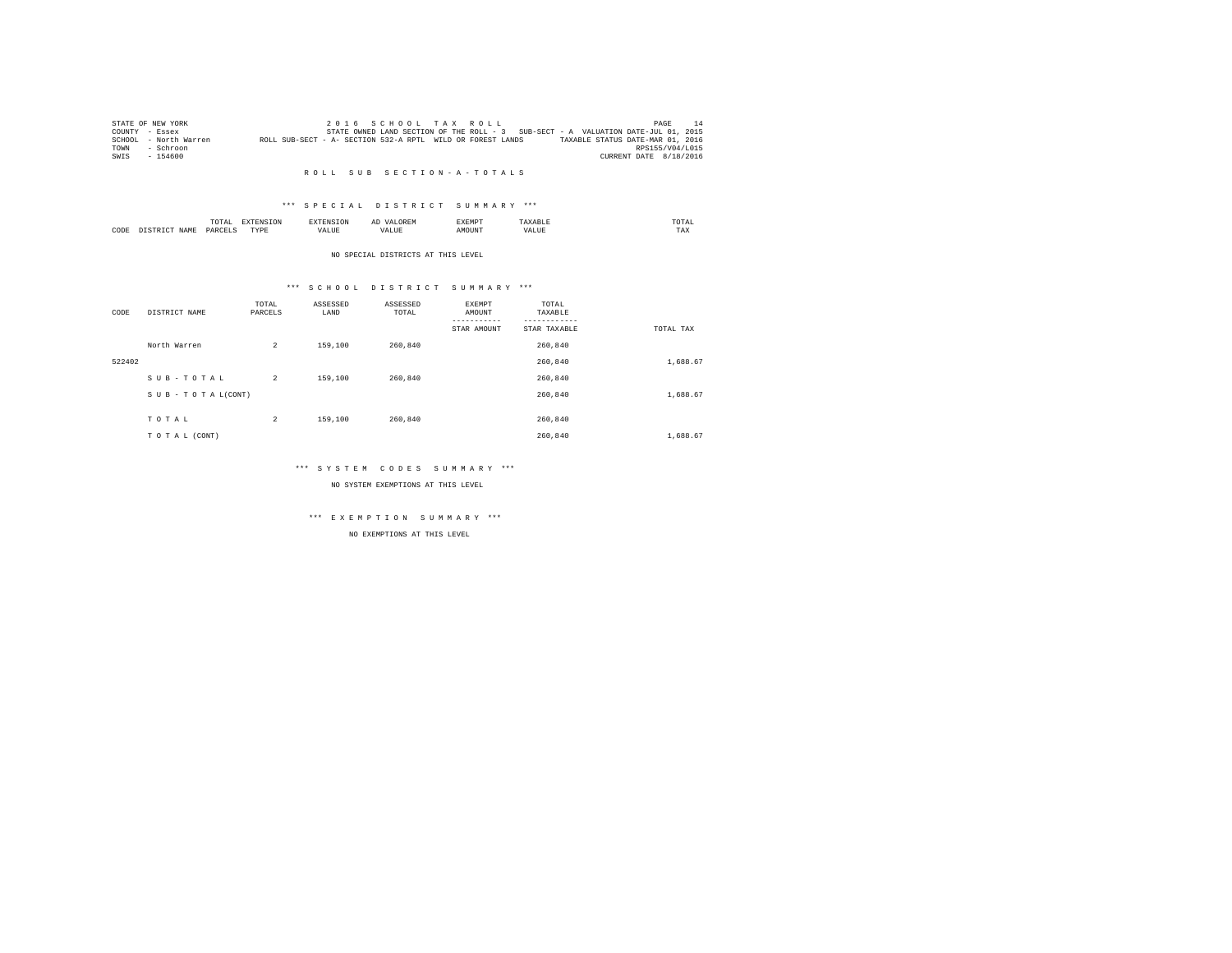|      | STATE OF NEW YORK     |                                                            |  |  | 2016 SCHOOL TAX ROLL |                                                                                   |                                  | PAGE                   | 14 |
|------|-----------------------|------------------------------------------------------------|--|--|----------------------|-----------------------------------------------------------------------------------|----------------------------------|------------------------|----|
|      | COUNTY - Essex        |                                                            |  |  |                      | STATE OWNED LAND SECTION OF THE ROLL - 3 SUB-SECT - A VALUATION DATE-JUL 01, 2015 |                                  |                        |    |
|      | SCHOOL - North Warren | ROLL SUB-SECT - A- SECTION 532-A RPTL WILD OR FOREST LANDS |  |  |                      |                                                                                   | TAXABLE STATUS DATE-MAR 01, 2016 |                        |    |
| TOWN | - Schroon             |                                                            |  |  |                      |                                                                                   |                                  | RPS155/V04/L015        |    |
| SWIS | $-154600$             |                                                            |  |  |                      |                                                                                   |                                  | CURRENT DATE 8/18/2016 |    |

#### \*\*\* S P E C I A L D I S T R I C T S U M M A R Y \*\*\*

|      |            | --<br>IUIAI | the contract of the contract of the contract of the contract of the contract of the contract of the contract of | --------- | $\sim$ | 'YEMP' |      | TW.<br>the contract of the contract of the contract of |
|------|------------|-------------|-----------------------------------------------------------------------------------------------------------------|-----------|--------|--------|------|--------------------------------------------------------|
| CODE | <b>CAM</b> | DA.         | men<br>.                                                                                                        |           | $ -$   |        | $ -$ | $- - - -$<br>1 A.A                                     |

#### NO SPECIAL DISTRICTS AT THIS LEVEL

#### \*\*\* S C H O O L D I S T R I C T S U M M A R Y \*\*\*

| CODE   | DISTRICT NAME      | TOTAL<br>PARCELS | ASSESSED<br>LAND | ASSESSED<br>TOTAL | EXEMPT<br>AMOUNT | TOTAL<br>TAXABLE |           |
|--------|--------------------|------------------|------------------|-------------------|------------------|------------------|-----------|
|        |                    |                  |                  |                   | STAR AMOUNT      | STAR TAXABLE     | TOTAL TAX |
|        | North Warren       | $\overline{a}$   | 159,100          | 260.840           |                  | 260,840          |           |
| 522402 |                    |                  |                  |                   |                  | 260,840          | 1,688.67  |
|        | SUB-TOTAL          | $\overline{a}$   | 159,100          | 260.840           |                  | 260.840          |           |
|        | SUB - TO TAL(CONT) |                  |                  |                   |                  | 260.840          | 1,688.67  |
|        |                    |                  |                  |                   |                  |                  |           |
|        | TOTAL              | 2                | 159,100          | 260,840           |                  | 260,840          |           |
|        | TO TAL (CONT)      |                  |                  |                   |                  | 260.840          | 1,688.67  |

#### \*\*\* S Y S T E M C O D E S S U M M A R Y \*\*\*

NO SYSTEM EXEMPTIONS AT THIS LEVEL

## \*\*\* E X E M P T I O N S U M M A R Y \*\*\*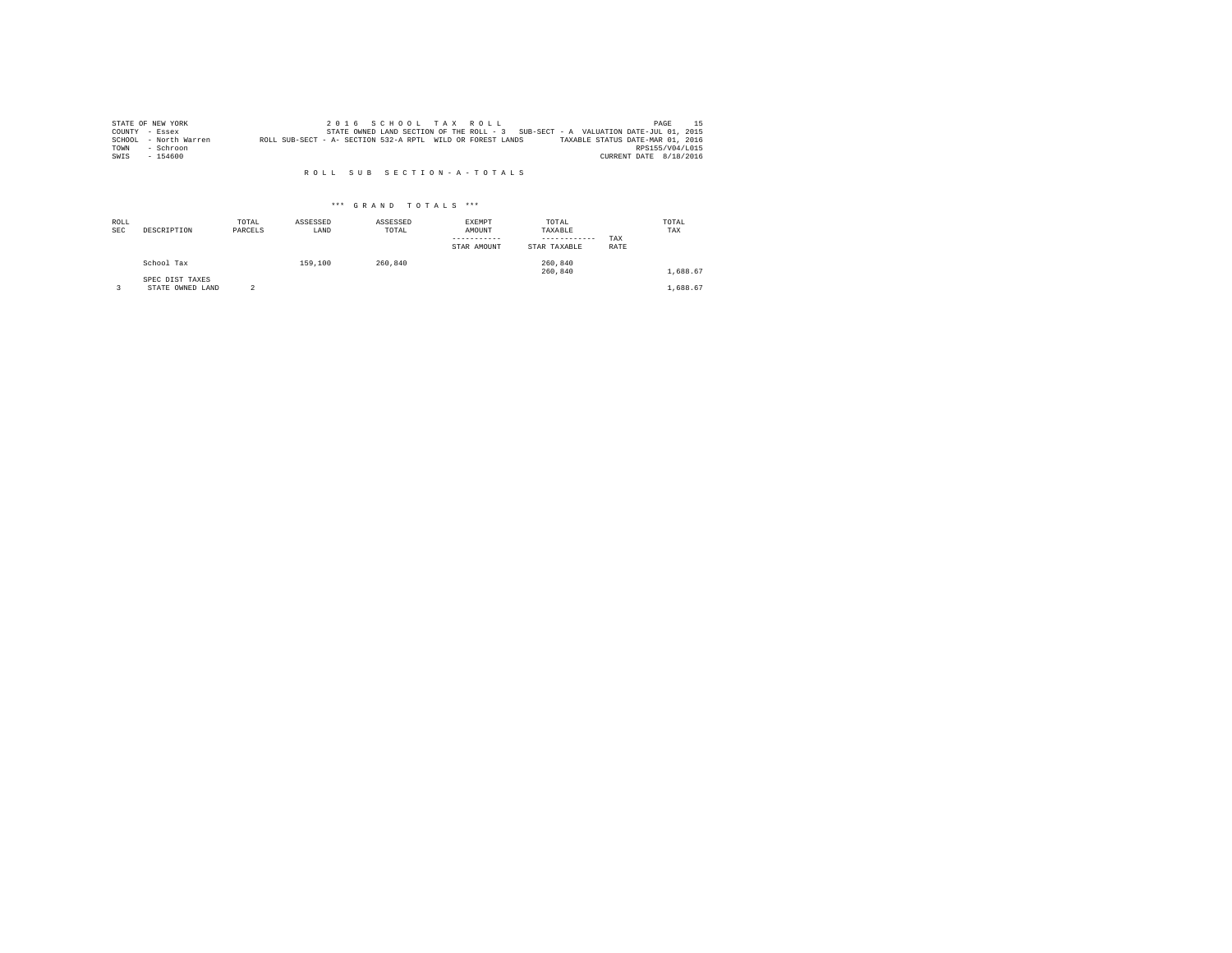|      | STATE OF NEW YORK     |                                                            |  |  | 2016 SCHOOL TAX ROLL |                                                                                   | PAGE                   |  |
|------|-----------------------|------------------------------------------------------------|--|--|----------------------|-----------------------------------------------------------------------------------|------------------------|--|
|      | COUNTY - Essex        |                                                            |  |  |                      | STATE OWNED LAND SECTION OF THE ROLL - 3 SUB-SECT - A VALUATION DATE-JUL 01, 2015 |                        |  |
|      | SCHOOL - North Warren | ROLL SUB-SECT - A- SECTION 532-A RPTL WILD OR FOREST LANDS |  |  |                      | TAXABLE STATUS DATE-MAR 01, 2016                                                  |                        |  |
| TOWN | - Schroon             |                                                            |  |  |                      |                                                                                   | RPS155/V04/L015        |  |
| SWIS | $-154600$             |                                                            |  |  |                      |                                                                                   | CURRENT DATE 8/18/2016 |  |

| ROLL<br><b>SEC</b> | DESCRIPTION                         | TOTAL<br>PARCELS | ASSESSED<br>LAND | ASSESSED<br>TOTAL | <b>EXEMPT</b><br>AMOUNT<br>STAR AMOUNT | TOTAL<br>TAXABLE<br>------------<br>STAR TAXABLE | TAX<br>RATE | TOTAL<br>TAX |
|--------------------|-------------------------------------|------------------|------------------|-------------------|----------------------------------------|--------------------------------------------------|-------------|--------------|
|                    | School Tax                          |                  | 159,100          | 260.840           |                                        | 260,840<br>260,840                               |             | 1,688.67     |
|                    | SPEC DIST TAXES<br>STATE OWNED LAND |                  |                  |                   |                                        |                                                  |             | 1,688.67     |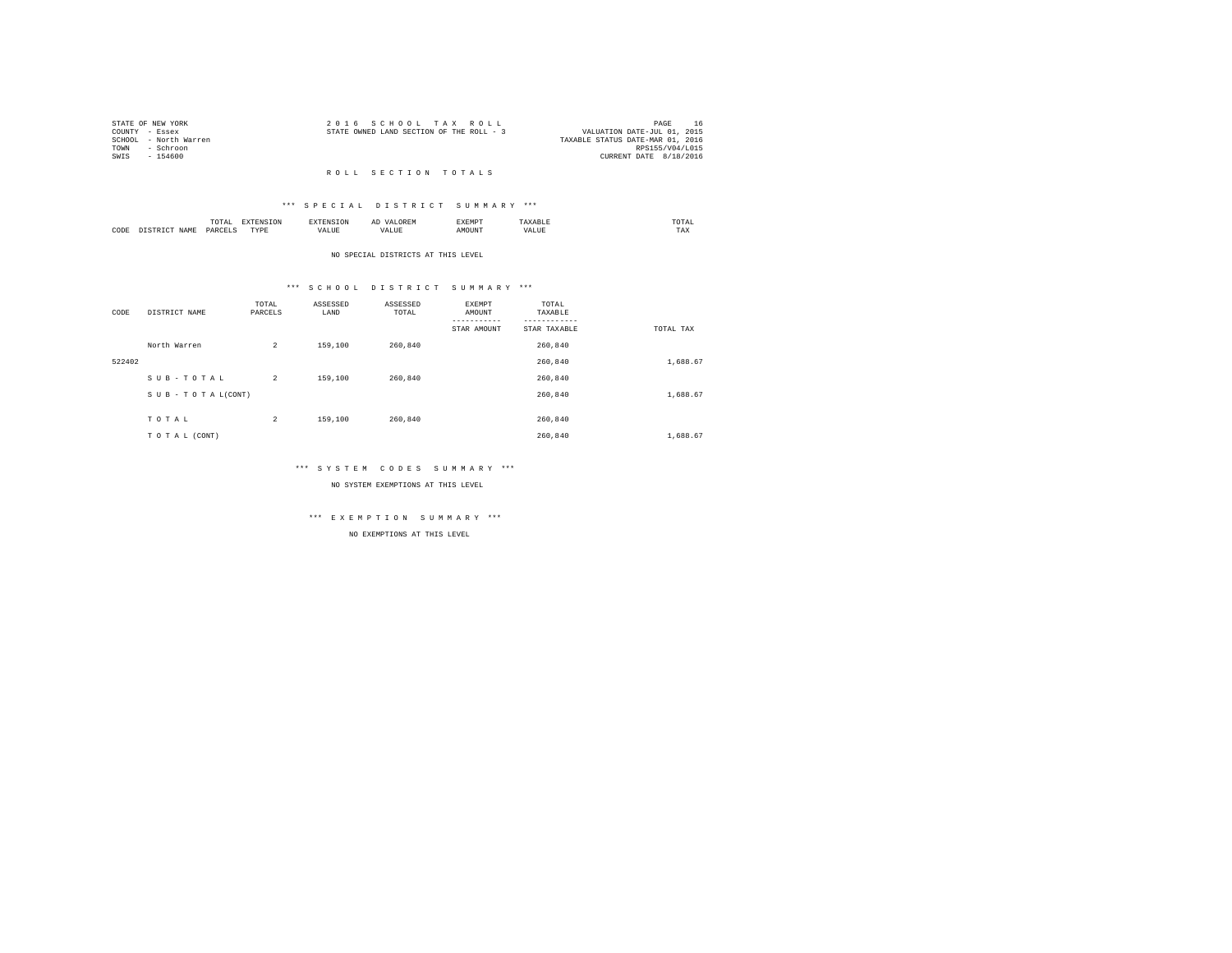| STATE OF NEW YORK |                       | 2016 SCHOOL TAX ROLL                     |  |  |                                  |                 | PAGE |  |
|-------------------|-----------------------|------------------------------------------|--|--|----------------------------------|-----------------|------|--|
| COUNTY - Essex    |                       | STATE OWNED LAND SECTION OF THE ROLL - 3 |  |  | VALUATION DATE-JUL 01, 2015      |                 |      |  |
|                   | SCHOOL - North Warren |                                          |  |  | TAXABLE STATUS DATE-MAR 01, 2016 |                 |      |  |
| TOWN              | - Schroon             |                                          |  |  |                                  | RPS155/V04/L015 |      |  |
| SWTS              | - 154600              |                                          |  |  | CURRENT DATE 8/18/2016           |                 |      |  |
|                   |                       |                                          |  |  |                                  |                 |      |  |

#### R O L L S E C T I O N T O T A L S

#### \*\*\* S P E C I A L D I S T R I C T S U M M A R Y \*\*\*

|      | .              | the contract of the contract of the contract of the contract of the contract of the contract of the contract of | ≖  | .    | the contract of the contract of the contract of |
|------|----------------|-----------------------------------------------------------------------------------------------------------------|----|------|-------------------------------------------------|
| CODE | ODP'<br>$\sim$ | .<br>.                                                                                                          | -- | ראטי | $1 - \Delta$                                    |

#### NO SPECIAL DISTRICTS AT THIS LEVEL

#### \*\*\* S C H O O L D I S T R I C T S U M M A R Y \*\*\*

| CODE   | DISTRICT NAME      | TOTAL<br>PARCELS | ASSESSED<br>LAND | ASSESSED<br>TOTAL | EXEMPT<br>AMOUNT<br>--------- | TOTAL<br>TAXABLE |           |
|--------|--------------------|------------------|------------------|-------------------|-------------------------------|------------------|-----------|
|        |                    |                  |                  |                   | STAR AMOUNT                   | STAR TAXABLE     | TOTAL TAX |
|        | North Warren       | $\overline{a}$   | 159,100          | 260.840           |                               | 260.840          |           |
| 522402 |                    |                  |                  |                   |                               | 260.840          | 1,688.67  |
|        | SUB-TOTAL          | $\overline{2}$   | 159,100          | 260.840           |                               | 260.840          |           |
|        | SUB - TO TAL(CONT) |                  |                  |                   |                               | 260.840          | 1,688.67  |
|        |                    |                  |                  |                   |                               |                  |           |
|        | TOTAL              | $\overline{c}$   | 159,100          | 260,840           |                               | 260.840          |           |
|        | TO TAL (CONT)      |                  |                  |                   |                               | 260.840          | 1,688.67  |

#### \*\*\* S Y S T E M C O D E S S U M M A R Y \*\*\*

NO SYSTEM EXEMPTIONS AT THIS LEVEL

## \*\*\* E X E M P T I O N S U M M A R Y \*\*\*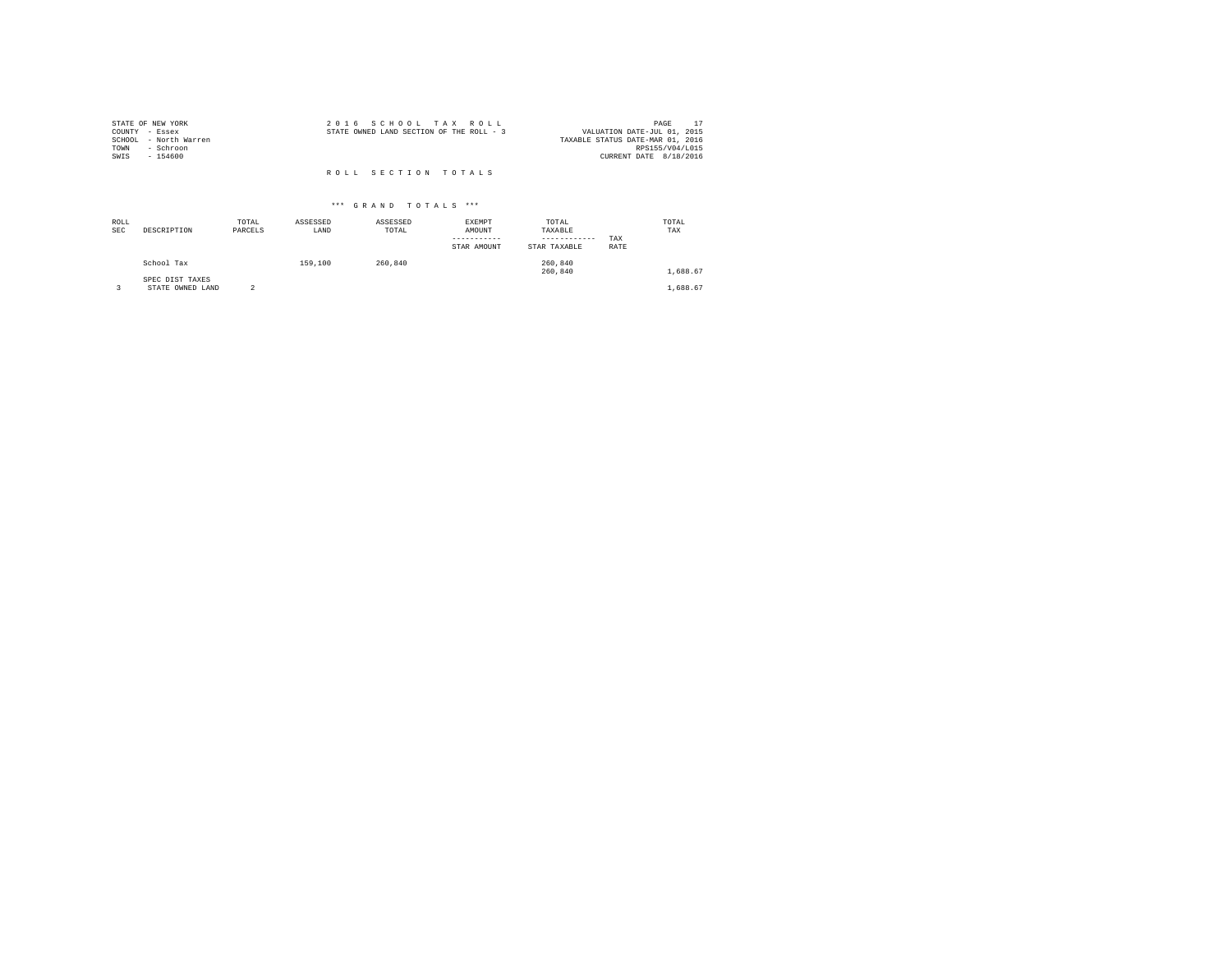| STATE OF NEW YORK     | 2016 SCHOOL TAX ROLL                     | PAGE                             |
|-----------------------|------------------------------------------|----------------------------------|
| COUNTY - Essex        | STATE OWNED LAND SECTION OF THE ROLL - 3 | VALUATION DATE-JUL 01, 2015      |
| SCHOOL - North Warren |                                          | TAXABLE STATUS DATE-MAR 01, 2016 |
| TOWN<br>- Schroon     |                                          | RPS155/V04/L015                  |
| SWIS<br>$-154600$     |                                          | CURRENT DATE 8/18/2016           |
|                       |                                          |                                  |
|                       | ROLL SECTION TOTALS                      |                                  |

| ROLL<br><b>SEC</b> | DESCRIPTION                         | TOTAL<br>PARCELS | ASSESSED<br>LAND | ASSESSED<br>TOTAL | EXEMPT<br>AMOUNT<br>-----------<br>STAR AMOUNT | TOTAL<br>TAXABLE<br>------------<br>STAR TAXABLE | TAX<br>RATE | TOTAL<br>TAX |  |
|--------------------|-------------------------------------|------------------|------------------|-------------------|------------------------------------------------|--------------------------------------------------|-------------|--------------|--|
|                    | School Tax                          |                  | 159,100          | 260,840           |                                                | 260,840<br>260,840                               |             | 1,688.67     |  |
|                    | SPEC DIST TAXES<br>STATE OWNED LAND | $\overline{2}$   |                  |                   |                                                |                                                  |             | 1,688.67     |  |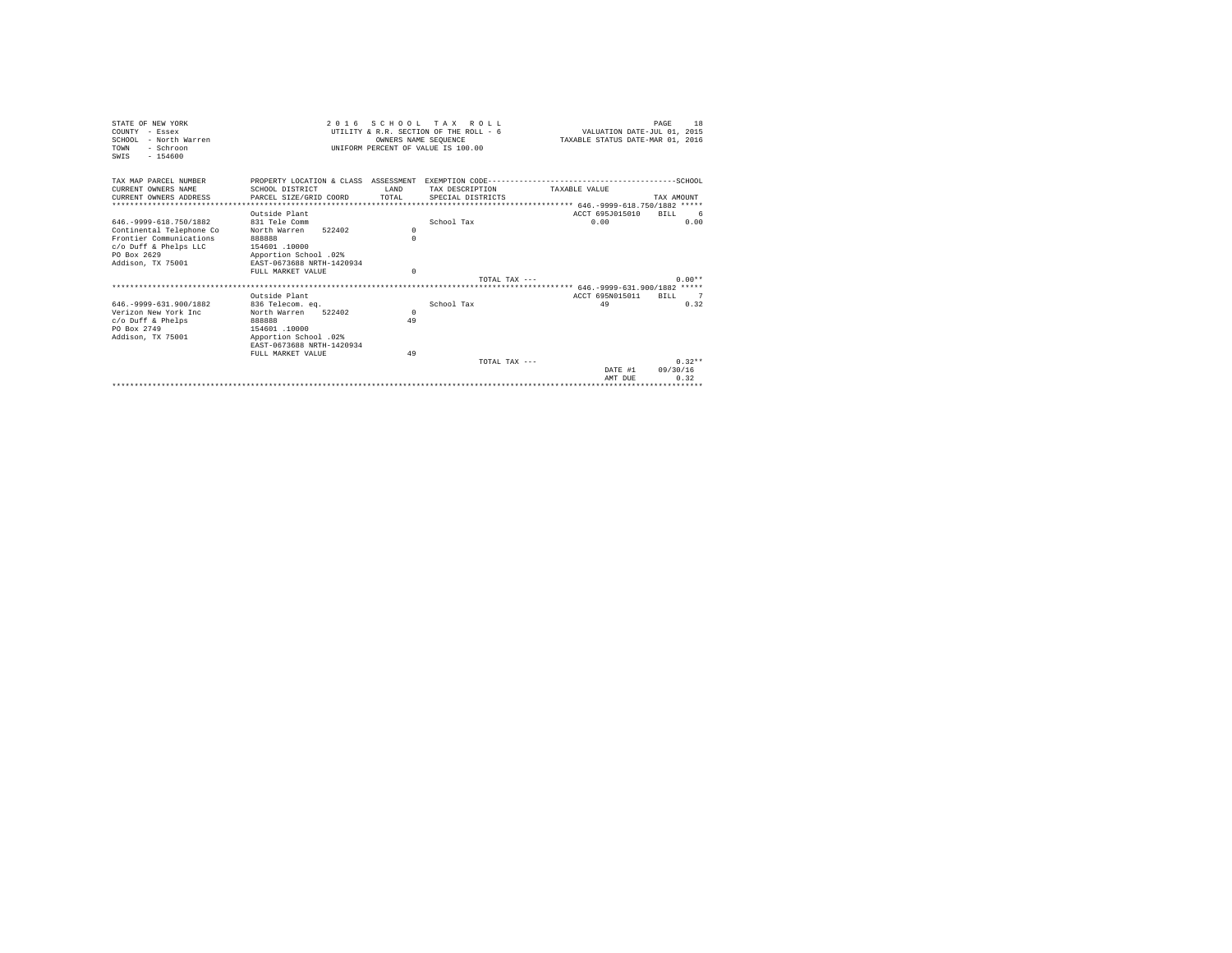| STATE OF NEW YORK<br>COUNTY - Essex<br>SCHOOL - North Warren<br>TOWN<br>- Schroon | 2 0 1 6                           | OWNERS NAME SEOUENCE | SCHOOL TAX ROLL<br>UTILITY & R.R. SECTION OF THE ROLL - 6<br>UNIFORM PERCENT OF VALUE IS 100.00 | VALUATION DATE-JUL 01, 2015<br>TAXABLE STATUS DATE-MAR 01, 2016 | 18<br>PAGE     |
|-----------------------------------------------------------------------------------|-----------------------------------|----------------------|-------------------------------------------------------------------------------------------------|-----------------------------------------------------------------|----------------|
| $-154600$<br>SWTS                                                                 |                                   |                      |                                                                                                 |                                                                 |                |
| TAX MAP PARCEL NUMBER<br>CURRENT OWNERS NAME                                      |                                   | <b>T.AND</b>         |                                                                                                 | TAXARLE VALUE                                                   |                |
| CURRENT OWNERS ADDRESS                                                            | SCHOOL DISTRICT                   | TOTAL                | TAX DESCRIPTION                                                                                 |                                                                 | TAX AMOUNT     |
|                                                                                   | PARCEL SIZE/GRID COORD            |                      | SPECIAL DISTRICTS                                                                               |                                                                 |                |
|                                                                                   | Outside Plant                     |                      |                                                                                                 | ACCT 695J015010                                                 | BTLL<br>- 6    |
| 646. - 9999 - 618. 750/1882                                                       | 831 Tele Comm                     |                      | School Tax                                                                                      | 0.00                                                            | 0.00           |
| Continental Telephone Co                                                          | 522402<br>North Warren            | $\Omega$             |                                                                                                 |                                                                 |                |
| Frontier Communications                                                           | 888888                            | $\Omega$             |                                                                                                 |                                                                 |                |
| c/o Duff & Phelps LLC                                                             | 154601 .10000                     |                      |                                                                                                 |                                                                 |                |
| PO Box 2629                                                                       | Apportion School .02%             |                      |                                                                                                 |                                                                 |                |
| Addison, TX 75001                                                                 | EAST-0673688 NRTH-1420934         |                      |                                                                                                 |                                                                 |                |
|                                                                                   | FULL MARKET VALUE                 | $\Omega$             |                                                                                                 |                                                                 |                |
|                                                                                   |                                   |                      | TOTAL TAX $---$                                                                                 |                                                                 | $0.00**$       |
|                                                                                   |                                   |                      |                                                                                                 |                                                                 |                |
| 646. - 9999 - 631. 900/1882                                                       | Outside Plant<br>836 Telecom, eq. |                      | School Tax                                                                                      | ACCT 695N015011<br>49                                           | RTLL 7<br>0.32 |
| Verizon New York Inc.                                                             | North Warren<br>522402            | $\Omega$             |                                                                                                 |                                                                 |                |
| $c$ /o Duff & Phelps                                                              | 888888                            | 49                   |                                                                                                 |                                                                 |                |
| PO Box 2749                                                                       | 154601 .10000                     |                      |                                                                                                 |                                                                 |                |
| Addison, TX 75001                                                                 | Apportion School .02%             |                      |                                                                                                 |                                                                 |                |
|                                                                                   | EAST-0673688 NRTH-1420934         |                      |                                                                                                 |                                                                 |                |
|                                                                                   | FULL MARKET VALUE                 | 49                   |                                                                                                 |                                                                 |                |
|                                                                                   |                                   |                      | TOTAL TAX $---$                                                                                 |                                                                 | $0.32**$       |
|                                                                                   |                                   |                      |                                                                                                 | DATE #1                                                         | 09/30/16       |
|                                                                                   |                                   |                      |                                                                                                 | AMT DUE                                                         | 0.32           |
|                                                                                   |                                   |                      |                                                                                                 |                                                                 |                |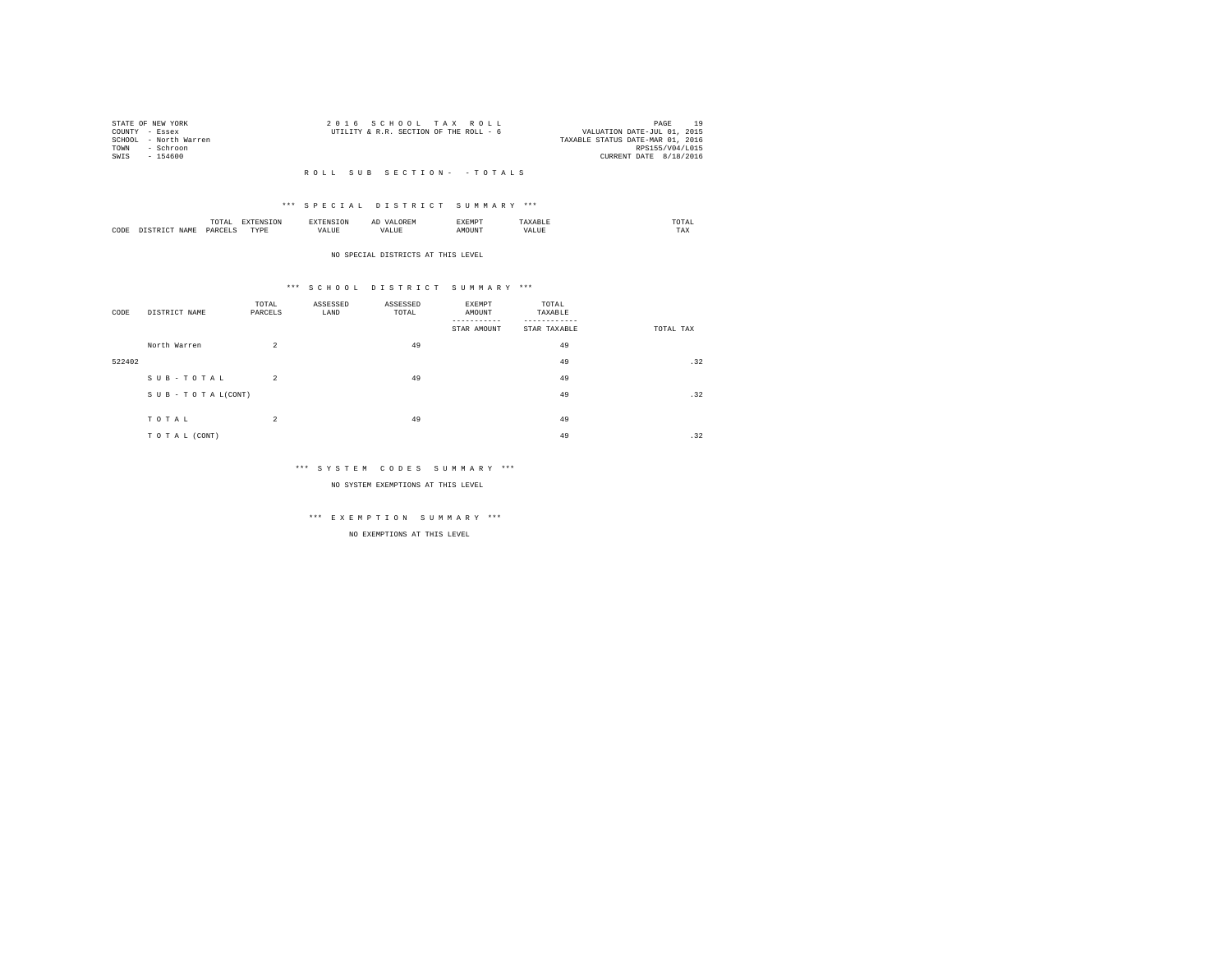| STATE OF NEW YORK |                       | 2016 SCHOOL TAX ROLL                   |  |                                  |                        | PAGE | 10 |
|-------------------|-----------------------|----------------------------------------|--|----------------------------------|------------------------|------|----|
| COUNTY - Essex    |                       | UTILITY & R.R. SECTION OF THE ROLL - 6 |  | VALUATION DATE-JUL 01, 2015      |                        |      |    |
|                   | SCHOOL - North Warren |                                        |  | TAXABLE STATUS DATE-MAR 01, 2016 |                        |      |    |
| TOWN              | - Schroon             |                                        |  |                                  | RPS155/V04/L015        |      |    |
| SWIS              | - 154600              |                                        |  |                                  | CURRENT DATE 8/18/2016 |      |    |
|                   |                       |                                        |  |                                  |                        |      |    |

#### \*\*\* S P E C I A L D I S T R I C T S U M M A R Y \*\*\*

|      | .              | the contract of the contract of the contract of the contract of the contract of the contract of the contract of | ≖  | .    | the contract of the contract of the contract of |
|------|----------------|-----------------------------------------------------------------------------------------------------------------|----|------|-------------------------------------------------|
| CODE | ODP'<br>$\sim$ | .<br>.                                                                                                          | -- | ראטי | $1 - \Delta$                                    |

#### NO SPECIAL DISTRICTS AT THIS LEVEL

#### \*\*\* S C H O O L D I S T R I C T S U M M A R Y \*\*\*

| CODE   | DISTRICT NAME   | TOTAL<br>PARCELS | ASSESSED<br>LAND | ASSESSED<br>TOTAL | EXEMPT<br>AMOUNT<br>STAR AMOUNT | TOTAL<br>TAXABLE<br>STAR TAXABLE | TOTAL TAX |
|--------|-----------------|------------------|------------------|-------------------|---------------------------------|----------------------------------|-----------|
|        | North Warren    | $\overline{a}$   |                  | 49                |                                 | 49                               |           |
| 522402 |                 |                  |                  |                   |                                 | 49                               | .32       |
|        | SUB-TOTAL       | $\overline{a}$   |                  | 49                |                                 | 49                               |           |
|        | SUB-TOTAL(CONT) |                  |                  |                   |                                 | 49                               | .32       |
|        | TOTAL           | $\overline{a}$   |                  | 49                |                                 | 49                               |           |
|        | TO TAL (CONT)   |                  |                  |                   |                                 | 49                               | .32       |

#### \*\*\* S Y S T E M C O D E S S U M M A R Y \*\*\*

NO SYSTEM EXEMPTIONS AT THIS LEVEL

# \*\*\* E X E M P T I O N S U M M A R Y \*\*\*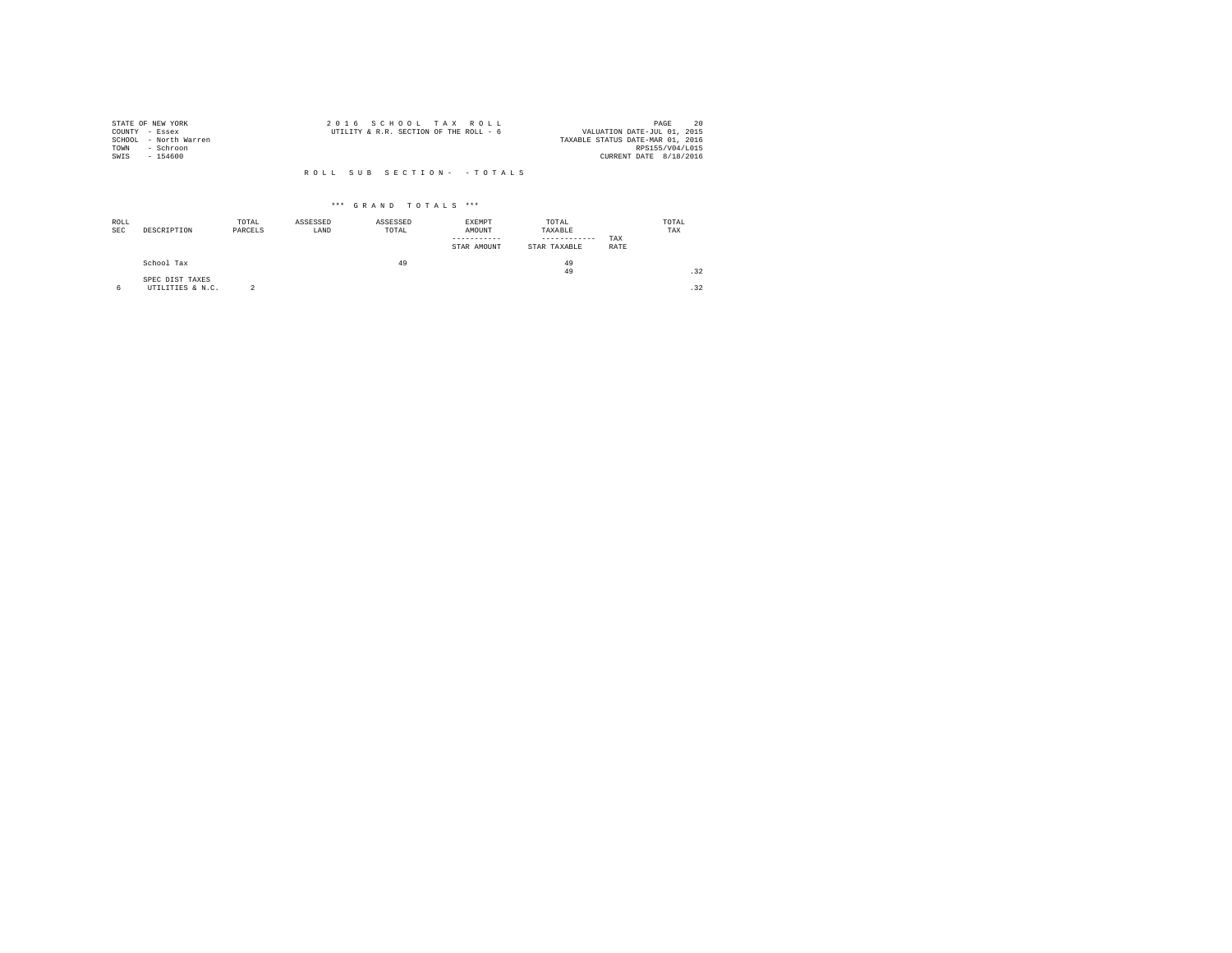|                | STATE OF NEW YORK     | 2016 SCHOOL TAX ROLL                                                  | PAGE            | 20 |
|----------------|-----------------------|-----------------------------------------------------------------------|-----------------|----|
| COUNTY - Essex |                       | VALUATION DATE-JUL 01, 2015<br>UTILITY & R.R. SECTION OF THE ROLL - 6 |                 |    |
|                | SCHOOL - North Warren | TAXABLE STATUS DATE-MAR 01, 2016                                      |                 |    |
| TOWN           | - Schroon             |                                                                       | RPS155/V04/L015 |    |
| SWIS           | $-154600$             | CURRENT DATE 8/18/2016                                                |                 |    |
|                |                       |                                                                       |                 |    |

| ROLL<br>SEC | DESCRIPTION      | TOTAL<br>PARCELS | ASSESSED<br>LAND | ASSESSED<br>TOTAL | EXEMPT<br>AMOUNT<br>-----------<br>STAR AMOUNT | TOTAL<br>TAXABLE<br>------------<br>STAR TAXABLE | TAX<br>RATE | TOTAL<br>TAX |
|-------------|------------------|------------------|------------------|-------------------|------------------------------------------------|--------------------------------------------------|-------------|--------------|
|             | School Tax       |                  |                  | 49                |                                                | 49                                               |             |              |
|             | SPEC DIST TAXES  |                  |                  |                   |                                                | 49                                               |             | .32          |
|             | UTILITIES & N.C. |                  |                  |                   |                                                |                                                  |             | .32          |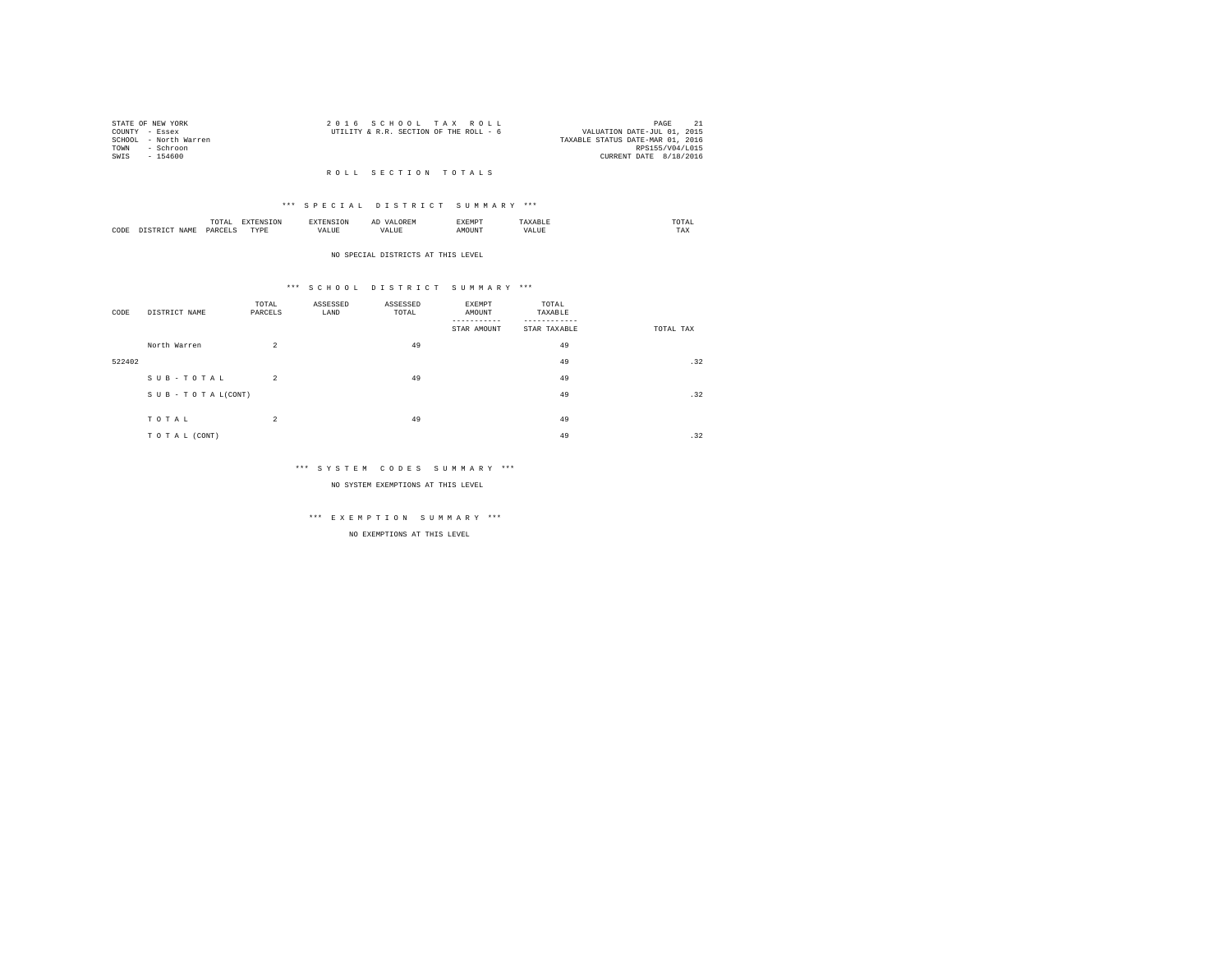|      | STATE OF NEW YORK     | 2016 SCHOOL TAX ROLL                                                  | PAGE            |  |
|------|-----------------------|-----------------------------------------------------------------------|-----------------|--|
|      | COUNTY - Essex        | VALUATION DATE-JUL 01, 2015<br>UTILITY & R.R. SECTION OF THE ROLL - 6 |                 |  |
|      | SCHOOL - North Warren | TAXABLE STATUS DATE-MAR 01, 2016                                      |                 |  |
| TOWN | - Schroon             |                                                                       | RPS155/V04/L015 |  |
| SWTS | $-154600$             | CURRENT DATE 8/18/2016                                                |                 |  |

#### R O L L S E C T I O N T O T A L S

#### \*\*\* S P E C I A L D I S T R I C T S U M M A R Y \*\*\*

|      |   | ----<br>.'O'TAL<br>the contract of the contract of the contract of the contract of the contract of | ---              | <b>CAN INF</b> | ----- |      | moms:<br>the contract of the contract of the contract of |  |
|------|---|----------------------------------------------------------------------------------------------------|------------------|----------------|-------|------|----------------------------------------------------------|--|
| CODE | - | DARCEL.<br>$\sim$<br>________                                                                      | <b>TVDk</b><br>. | $\cdots$<br>.  | MOUN. | ∿JU⊾ | TAX                                                      |  |

#### NO SPECIAL DISTRICTS AT THIS LEVEL

#### \*\*\* S C H O O L D I S T R I C T S U M M A R Y \*\*\*

| CODE   | DISTRICT NAME   | TOTAL<br>PARCELS | ASSESSED<br>LAND | ASSESSED<br>TOTAL | EXEMPT<br>AMOUNT<br>STAR AMOUNT | TOTAL<br>TAXABLE<br>STAR TAXABLE | TOTAL TAX |
|--------|-----------------|------------------|------------------|-------------------|---------------------------------|----------------------------------|-----------|
|        | North Warren    | $\overline{a}$   |                  | 49                |                                 | 49                               |           |
| 522402 |                 |                  |                  |                   |                                 | 49                               | .32       |
|        | SUB-TOTAL       | $\overline{2}$   |                  | 49                |                                 | 49                               |           |
|        | SUB-TOTAL(CONT) |                  |                  |                   |                                 | 49                               | .32       |
|        |                 |                  |                  |                   |                                 |                                  |           |
|        | TOTAL           | $\overline{a}$   |                  | 49                |                                 | 49                               |           |
|        | TO TAL (CONT)   |                  |                  |                   |                                 | 49                               | .32       |

#### \*\*\* S Y S T E M C O D E S S U M M A R Y \*\*\*

NO SYSTEM EXEMPTIONS AT THIS LEVEL

# \*\*\* E X E M P T I O N S U M M A R Y \*\*\*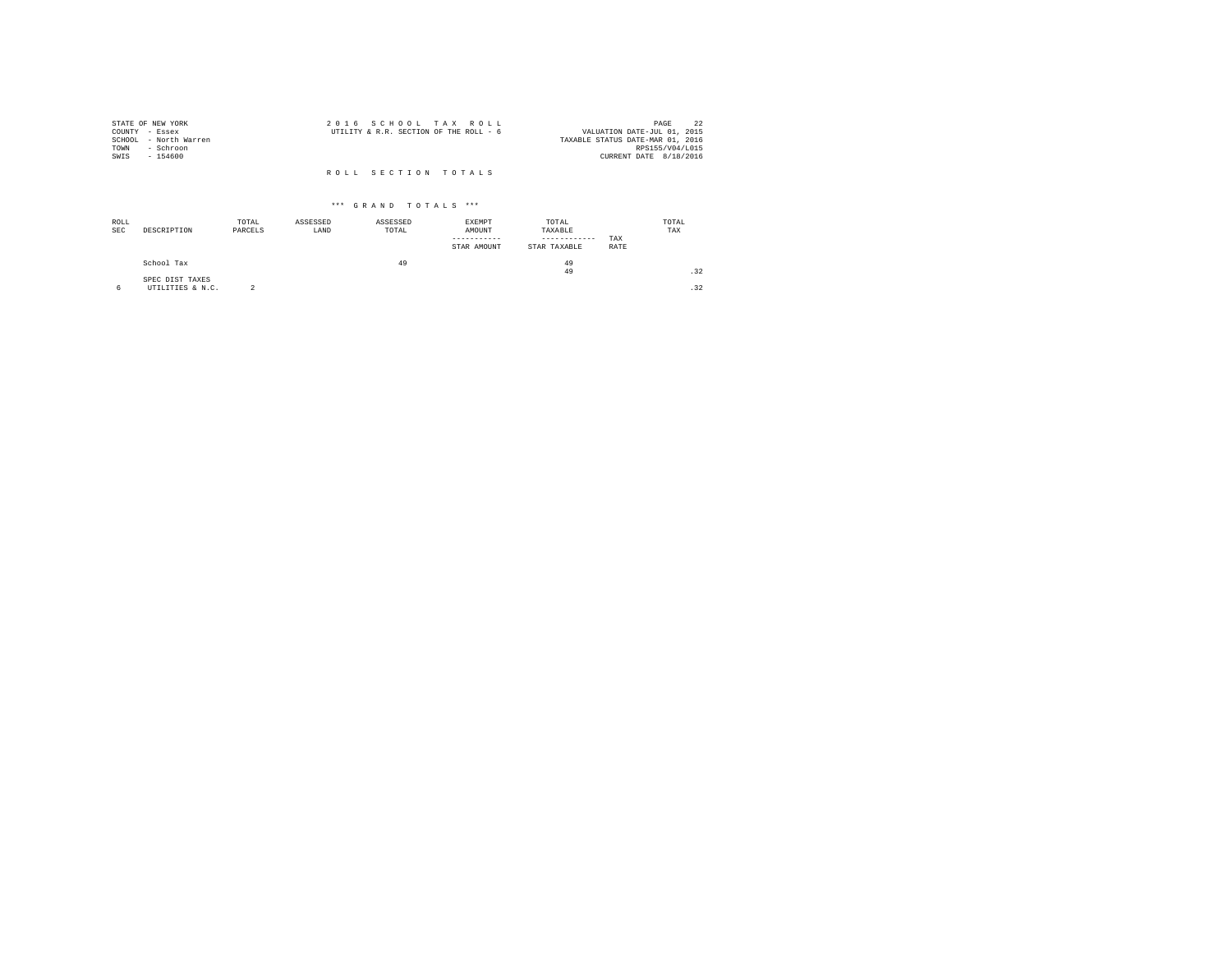| STATE OF NEW YORK     | 2016 SCHOOL TAX ROLL                   | 22<br>PAGE                       |
|-----------------------|----------------------------------------|----------------------------------|
| COUNTY - Essex        | UTILITY & R.R. SECTION OF THE ROLL - 6 | VALUATION DATE-JUL 01, 2015      |
| SCHOOL - North Warren |                                        | TAXABLE STATUS DATE-MAR 01, 2016 |
| TOWN<br>- Schroon     |                                        | RPS155/V04/L015                  |
| SWIS<br>$-154600$     |                                        | CURRENT DATE 8/18/2016           |
|                       | ROLL SECTION TOTALS                    |                                  |

| ROLL<br><b>SEC</b> | DESCRIPTION                         | TOTAL<br>PARCELS | ASSESSED<br>LAND | ASSESSED<br>TOTAL | <b>EXEMPT</b><br>AMOUNT<br>STAR AMOUNT | TOTAL<br>TAXABLE<br>------------<br>STAR TAXABLE | TAX<br>RATE | TOTAL<br>TAX |
|--------------------|-------------------------------------|------------------|------------------|-------------------|----------------------------------------|--------------------------------------------------|-------------|--------------|
|                    | School Tax                          |                  |                  | 49                |                                        | 49<br>49                                         |             | .32          |
| 6                  | SPEC DIST TAXES<br>UTILITIES & N.C. |                  |                  |                   |                                        |                                                  |             | .32          |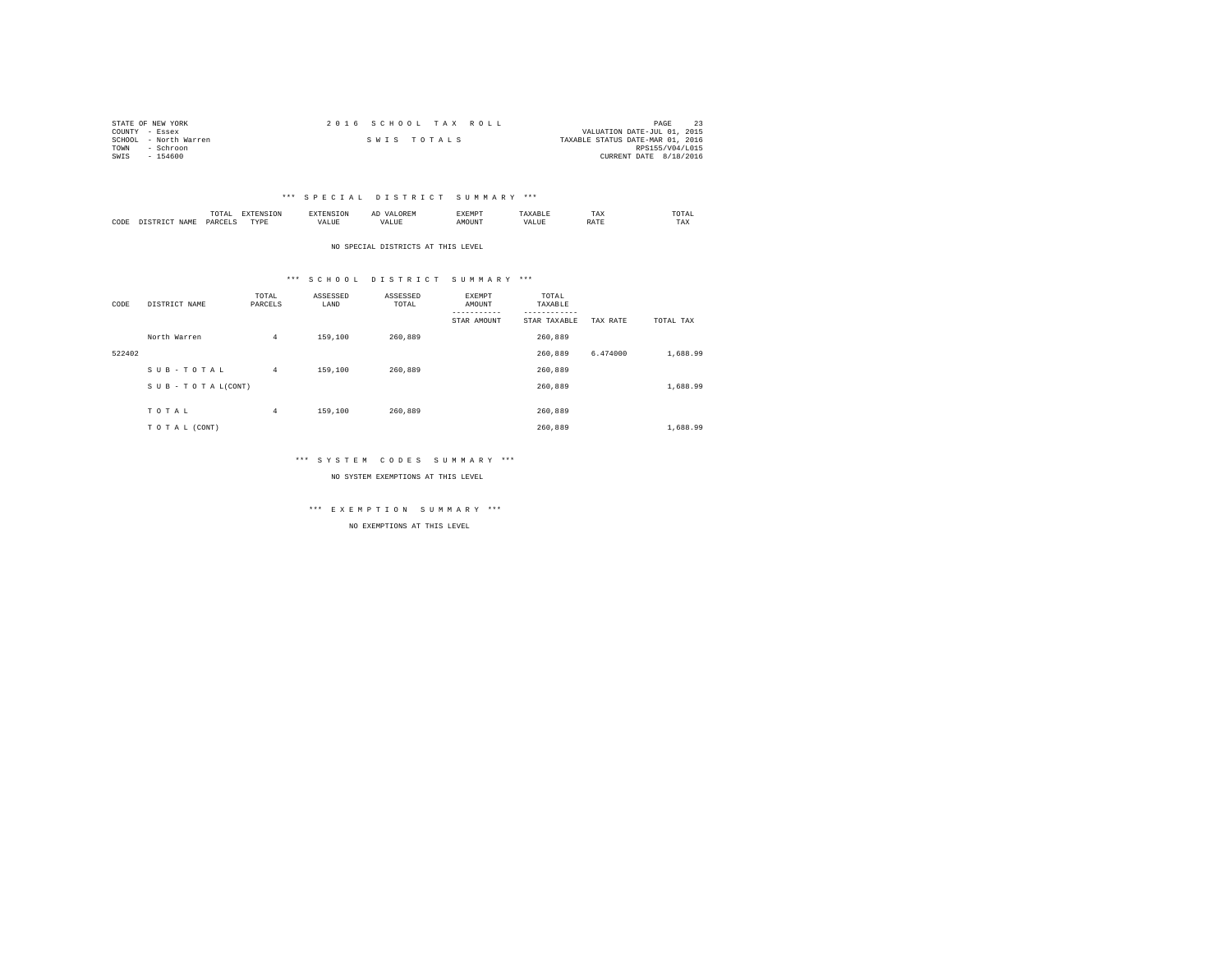| STATE OF NEW YORK     | 2016 SCHOOL TAX ROLL | PAGE                             |
|-----------------------|----------------------|----------------------------------|
| COUNTY - Essex        |                      | VALUATION DATE-JUL 01, 2015      |
| SCHOOL - North Warren | SWIS TOTALS          | TAXABLE STATUS DATE-MAR 01, 2016 |
| TOWN<br>- Schroon     |                      | RPS155/V04/L015                  |
| SWIS<br>$-154600$     |                      | CURRENT DATE 8/18/2016           |

|           |                      | 1 U 1 M 1<br>the contract of the contract of the contract of | ---------------  |      | $\sim$<br>. |   | 1 A.A        | 'UIA.<br>the contract of the contract of the contract of |
|-----------|----------------------|--------------------------------------------------------------|------------------|------|-------------|---|--------------|----------------------------------------------------------|
| CODE<br>. | <b>NAME</b><br>11.12 | レムト                                                          | <b>TIDE</b><br>. | ALUE |             | n | <b>Shown</b> | TAX                                                      |

NO SPECIAL DISTRICTS AT THIS LEVEL

#### \*\*\* S C H O O L D I S T R I C T S U M M A R Y \*\*\*

| CODE   | DISTRICT NAME   | TOTAL<br>PARCELS | ASSESSED<br>LAND | ASSESSED<br>TOTAL | EXEMPT<br>AMOUNT<br>----------- | TOTAL<br>TAXABLE<br>--------- |          |           |
|--------|-----------------|------------------|------------------|-------------------|---------------------------------|-------------------------------|----------|-----------|
|        |                 |                  |                  |                   | STAR AMOUNT                     | STAR TAXABLE                  | TAX RATE | TOTAL TAX |
|        | North Warren    | $\overline{4}$   | 159,100          | 260,889           |                                 | 260.889                       |          |           |
| 522402 |                 |                  |                  |                   |                                 | 260,889                       | 6.474000 | 1,688.99  |
|        | SUB-TOTAL       | $\overline{4}$   | 159,100          | 260.889           |                                 | 260.889                       |          |           |
|        | SUB-TOTAL(CONT) |                  |                  |                   |                                 | 260,889                       |          | 1,688.99  |
|        |                 |                  |                  |                   |                                 |                               |          |           |
|        | TOTAL           | $\overline{4}$   | 159,100          | 260.889           |                                 | 260,889                       |          |           |
|        | TO TAL (CONT)   |                  |                  |                   |                                 | 260.889                       |          | 1,688.99  |

#### \*\*\* S Y S T E M C O D E S S U M M A R Y \*\*\*

NO SYSTEM EXEMPTIONS AT THIS LEVEL

\*\*\* E X E M P T I O N S U M M A R Y \*\*\*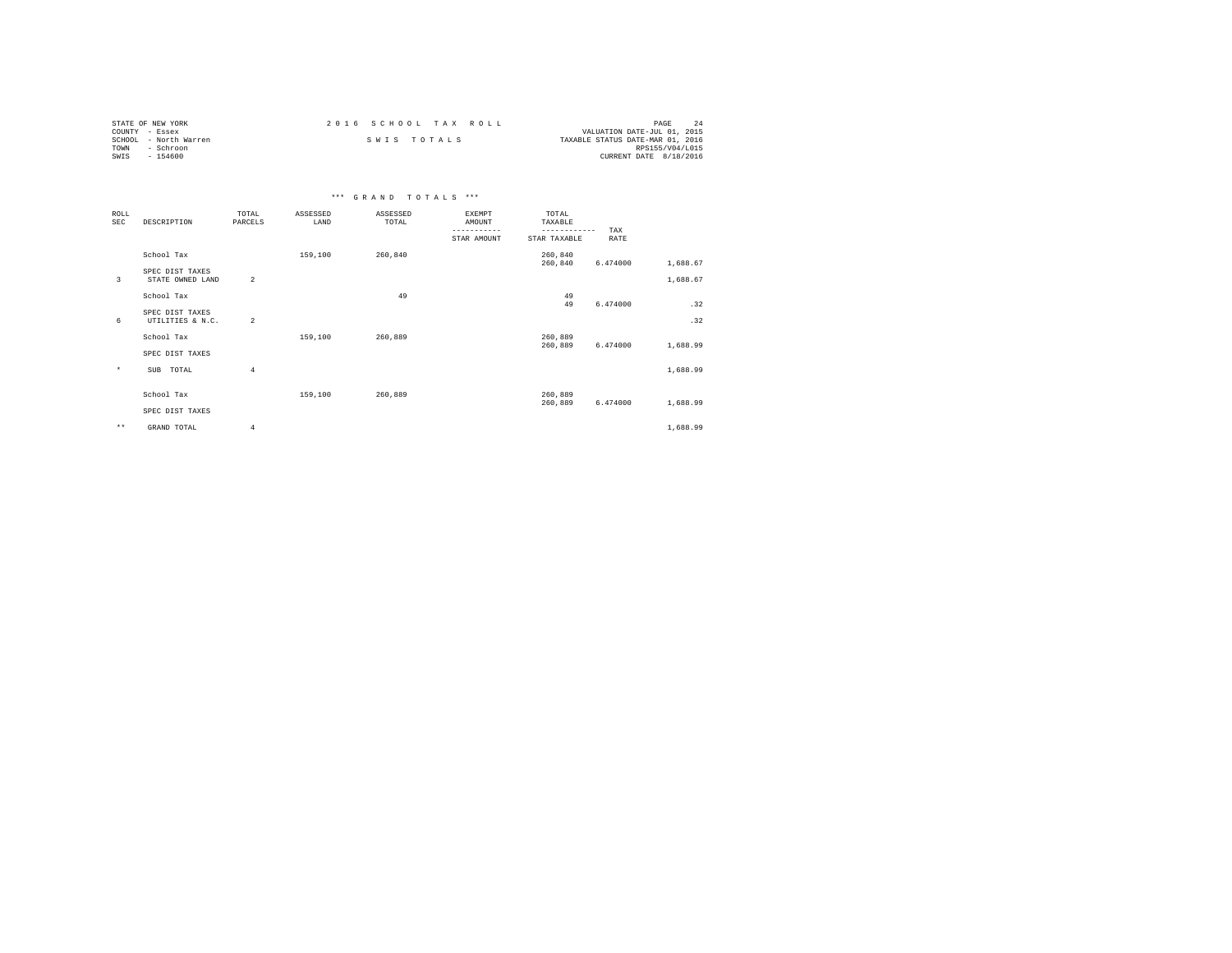| STATE OF NEW YORK     | 2016 SCHOOL TAX ROLL | PAGE                             |
|-----------------------|----------------------|----------------------------------|
| COUNTY - Essex        |                      | VALUATION DATE-JUL 01, 2015      |
| SCHOOL - North Warren | SWIS TOTALS          | TAXABLE STATUS DATE-MAR 01, 2016 |
| TOWN<br>- Schroon     |                      | RPS155/V04/L015                  |
| SWIS<br>$-154600$     |                      | CURRENT DATE 8/18/2016           |

|                           |                                     |                  |                  | *** GRAND TOTALS *** |                                                       |                                                  |             |          |
|---------------------------|-------------------------------------|------------------|------------------|----------------------|-------------------------------------------------------|--------------------------------------------------|-------------|----------|
| <b>ROLL</b><br><b>SEC</b> | DESCRIPTION                         | TOTAL<br>PARCELS | ASSESSED<br>LAND | ASSESSED<br>TOTAL    | <b>EXEMPT</b><br>AMOUNT<br>-----------<br>STAR AMOUNT | TOTAL<br>TAXABLE<br>------------<br>STAR TAXABLE | TAX<br>RATE |          |
|                           | School Tax                          |                  | 159,100          | 260,840              |                                                       | 260,840<br>260,840                               | 6.474000    | 1,688.67 |
| 3                         | SPEC DIST TAXES<br>STATE OWNED LAND | $\overline{2}$   |                  |                      |                                                       |                                                  |             | 1,688.67 |
|                           | School Tax                          |                  |                  | 49                   |                                                       | 49<br>49                                         | 6.474000    | .32      |
| 6                         | SPEC DIST TAXES<br>UTILITIES & N.C. | $\overline{2}$   |                  |                      |                                                       |                                                  |             | .32      |
|                           | School Tax                          |                  | 159,100          | 260,889              |                                                       | 260,889<br>260,889                               | 6.474000    | 1,688.99 |
|                           | SPEC DIST TAXES                     |                  |                  |                      |                                                       |                                                  |             |          |
| $\star$                   | TOTAL<br>SUB                        | $\overline{4}$   |                  |                      |                                                       |                                                  |             | 1,688.99 |
|                           | School Tax                          |                  | 159,100          | 260,889              |                                                       | 260,889<br>260,889                               | 6.474000    | 1,688.99 |
|                           | SPEC DIST TAXES                     |                  |                  |                      |                                                       |                                                  |             |          |
| $\star\star$              | GRAND TOTAL                         | 4                |                  |                      |                                                       |                                                  |             | 1,688.99 |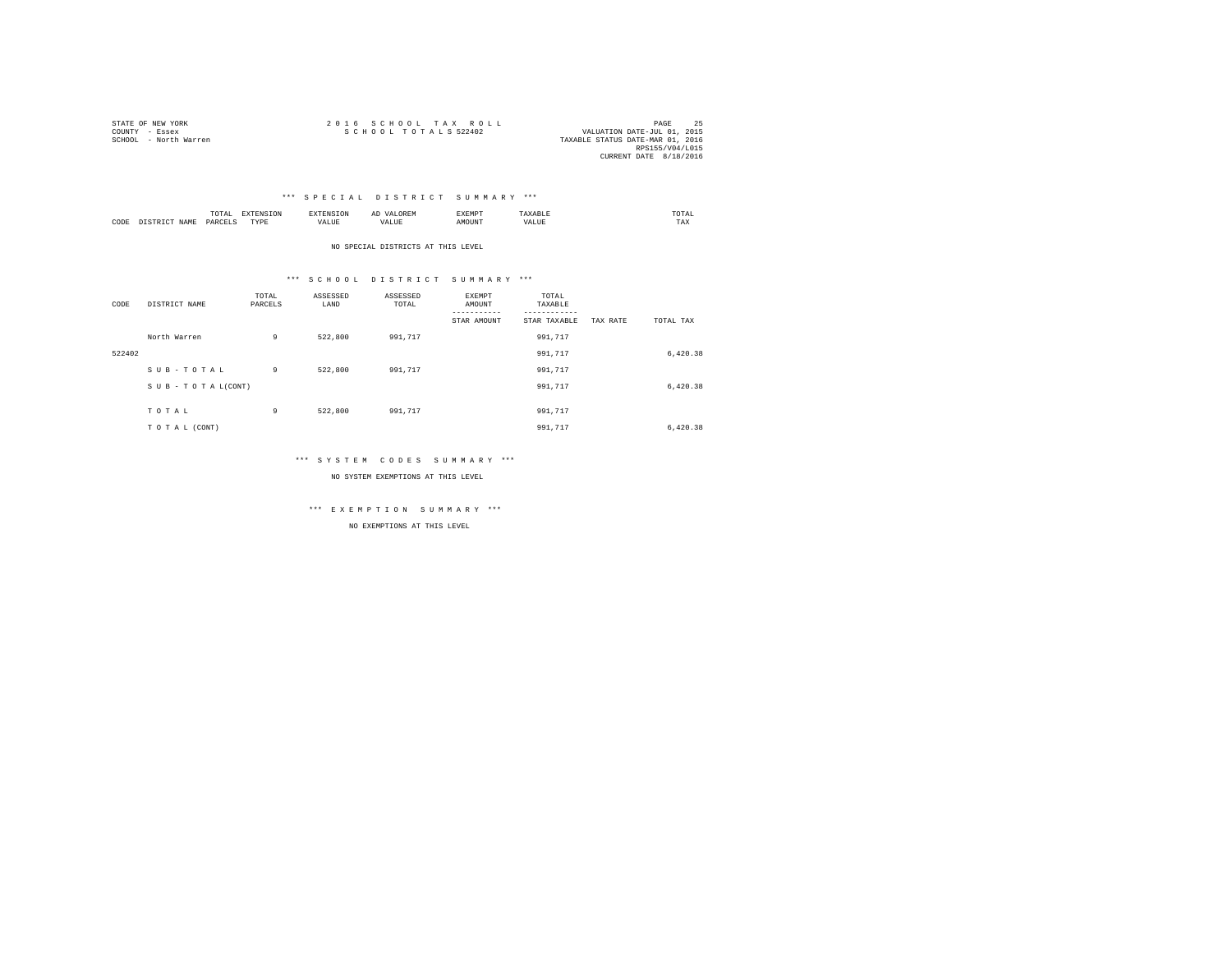| STATE OF NEW YORK     | 2016 SCHOOL TAX ROLL                                | PAGE            |  |
|-----------------------|-----------------------------------------------------|-----------------|--|
| COUNTY - Essex        | SCHOOL TOTALS 522402<br>VALUATION DATE-JUL 01, 2015 |                 |  |
| SCHOOL - North Warren | TAXABLE STATUS DATE-MAR 01, 2016                    |                 |  |
|                       |                                                     | RPS155/V04/L015 |  |
|                       | CURRENT DATE 8/18/2016                              |                 |  |

|      |            | <br>the contract of the contract of the contract of the contract of the contract of |                    |                                      | $\sim$ | .XEMP | JTAL<br>the contract of the contract of the contract of |  |
|------|------------|-------------------------------------------------------------------------------------|--------------------|--------------------------------------|--------|-------|---------------------------------------------------------|--|
| CODE | .7.14<br>. | υ∆RO™<br>.                                                                          | $m \cdot m -$<br>. | $\cdots$<br>$\overline{\phantom{a}}$ |        |       | TAX                                                     |  |

NO SPECIAL DISTRICTS AT THIS LEVEL

#### \*\*\* S C H O O L D I S T R I C T S U M M A R Y \*\*\*

| CODE   | DISTRICT NAME      | TOTAL<br>PARCELS | ASSESSED<br>LAND | ASSESSED<br>TOTAL | EXEMPT<br>AMOUNT<br>-----------<br>STAR AMOUNT | TOTAL<br>TAXABLE<br>---------<br>STAR TAXABLE | TAX RATE | TOTAL TAX |
|--------|--------------------|------------------|------------------|-------------------|------------------------------------------------|-----------------------------------------------|----------|-----------|
|        | North Warren       | 9                | 522,800          | 991.717           |                                                | 991,717                                       |          |           |
| 522402 |                    |                  |                  |                   |                                                | 991.717                                       |          | 6,420.38  |
|        | SUB-TOTAL          | 9                | 522,800          | 991.717           |                                                | 991,717                                       |          |           |
|        | SUB - TO TAL(CONT) |                  |                  |                   |                                                | 991,717                                       |          | 6,420.38  |
|        | TOTAL              | 9                | 522,800          | 991.717           |                                                | 991.717                                       |          |           |
|        | TO TAL (CONT)      |                  |                  |                   |                                                | 991,717                                       |          | 6,420.38  |

#### \*\*\* S Y S T E M C O D E S S U M M A R Y \*\*\*

NO SYSTEM EXEMPTIONS AT THIS LEVEL

\*\*\* E X E M P T I O N S U M M A R Y \*\*\*